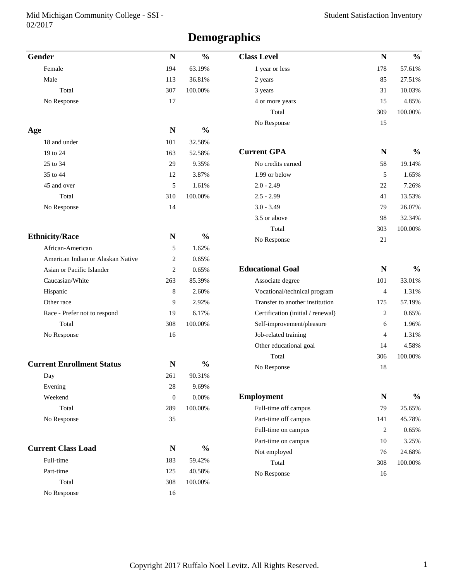# **Demographics**

| <b>Gender</b>                     | $\mathbf N$      | $\frac{0}{0}$ | <b>Class Level</b>                | N              | $\frac{0}{0}$ |
|-----------------------------------|------------------|---------------|-----------------------------------|----------------|---------------|
| Female                            | 194              | 63.19%        | 1 year or less                    | 178            | 57.61%        |
| Male                              | 113              | 36.81%        | 2 years                           | 85             | 27.51%        |
| Total                             | 307              | 100.00%       | 3 years                           | 31             | 10.03%        |
| No Response                       | 17               |               | 4 or more years                   | 15             | 4.85%         |
|                                   |                  |               | Total                             | 309            | 100.00%       |
|                                   |                  |               | No Response                       | 15             |               |
| Age                               | N                | $\frac{0}{0}$ |                                   |                |               |
| 18 and under                      | 101              | 32.58%        |                                   |                |               |
| 19 to 24                          | 163              | 52.58%        | <b>Current GPA</b>                | $\mathbf N$    | $\frac{0}{0}$ |
| 25 to 34                          | 29               | 9.35%         | No credits earned                 | 58             | 19.14%        |
| 35 to 44                          | 12               | 3.87%         | 1.99 or below                     | 5              | 1.65%         |
| 45 and over                       | 5                | 1.61%         | $2.0 - 2.49$                      | 22             | 7.26%         |
| Total                             | 310              | 100.00%       | $2.5 - 2.99$                      | 41             | 13.53%        |
| No Response                       | 14               |               | $3.0 - 3.49$                      | 79             | 26.07%        |
|                                   |                  |               | 3.5 or above                      | 98             | 32.34%        |
|                                   |                  |               | Total                             | 303            | 100.00%       |
| <b>Ethnicity/Race</b>             | N                | $\frac{0}{0}$ | No Response                       | 21             |               |
| African-American                  | 5                | 1.62%         |                                   |                |               |
| American Indian or Alaskan Native | $\overline{c}$   | 0.65%         |                                   |                |               |
| Asian or Pacific Islander         | $\overline{c}$   | 0.65%         | <b>Educational Goal</b>           | N              | $\frac{0}{0}$ |
| Caucasian/White                   | 263              | 85.39%        | Associate degree                  | 101            | 33.01%        |
| Hispanic                          | $\,8$            | 2.60%         | Vocational/technical program      | $\overline{4}$ | 1.31%         |
| Other race                        | 9                | 2.92%         | Transfer to another institution   | 175            | 57.19%        |
| Race - Prefer not to respond      | 19               | 6.17%         | Certification (initial / renewal) | 2              | 0.65%         |
| Total                             | 308              | 100.00%       | Self-improvement/pleasure         | 6              | 1.96%         |
| No Response                       | 16               |               | Job-related training              | 4              | 1.31%         |
|                                   |                  |               | Other educational goal            | 14             | 4.58%         |
| <b>Current Enrollment Status</b>  | N                | $\frac{0}{0}$ | Total                             | 306            | 100.00%       |
|                                   | 261              | 90.31%        | No Response                       | 18             |               |
| Day<br>Evening                    | 28               | 9.69%         |                                   |                |               |
| Weekend                           | $\boldsymbol{0}$ | $0.00\%$      | <b>Employment</b>                 | ${\bf N}$      | $\frac{0}{0}$ |
| Total                             | 289              | 100.00%       | Full-time off campus              | 79             | 25.65%        |
| No Response                       | 35               |               | Part-time off campus              | 141            | 45.78%        |
|                                   |                  |               | Full-time on campus               | 2              | 0.65%         |
|                                   |                  |               | Part-time on campus               | 10             | 3.25%         |
| <b>Current Class Load</b>         | $\mathbf N$      | $\frac{0}{0}$ | Not employed                      | 76             | 24.68%        |
| Full-time                         | 183              | 59.42%        | Total                             | 308            | 100.00%       |
| Part-time                         | 125              | 40.58%        | No Response                       | 16             |               |
| Total                             | 308              | 100.00%       |                                   |                |               |
| No Response                       | 16               |               |                                   |                |               |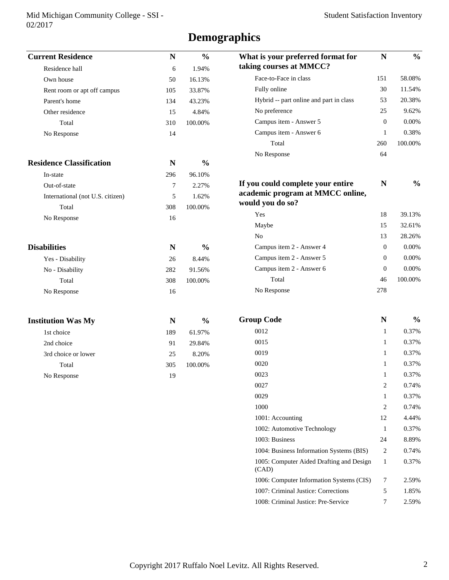# **Demographics**

| <b>Current Residence</b>         | N   | $\frac{0}{0}$ | What is your preferred format for                    | ${\bf N}$      | $\frac{0}{0}$ |
|----------------------------------|-----|---------------|------------------------------------------------------|----------------|---------------|
| Residence hall                   | 6   | 1.94%         | taking courses at MMCC?                              |                |               |
| Own house                        | 50  | 16.13%        | Face-to-Face in class                                | 151            | 58.08%        |
| Rent room or apt off campus      | 105 | 33.87%        | Fully online                                         | 30             | 11.54%        |
| Parent's home                    | 134 | 43.23%        | Hybrid -- part online and part in class              | 53             | 20.38%        |
| Other residence                  | 15  | 4.84%         | No preference                                        | 25             | 9.62%         |
| Total                            | 310 | 100.00%       | Campus item - Answer 5                               | $\mathbf{0}$   | 0.00%         |
| No Response                      | 14  |               | Campus item - Answer 6                               | $\mathbf{1}$   | 0.38%         |
|                                  |     |               | Total                                                | 260            | 100.00%       |
|                                  |     |               | No Response                                          | 64             |               |
| <b>Residence Classification</b>  | N   | $\frac{0}{0}$ |                                                      |                |               |
| In-state                         | 296 | 96.10%        |                                                      |                |               |
| Out-of-state                     | 7   | 2.27%         | If you could complete your entire                    | N              | $\frac{0}{0}$ |
| International (not U.S. citizen) | 5   | 1.62%         | academic program at MMCC online,<br>would you do so? |                |               |
| Total                            | 308 | 100.00%       |                                                      |                |               |
| No Response                      | 16  |               | Yes                                                  | 18             | 39.13%        |
|                                  |     |               | Maybe                                                | 15             | 32.61%        |
|                                  |     |               | No                                                   | 13             | 28.26%        |
| <b>Disabilities</b>              | N   | $\frac{0}{0}$ | Campus item 2 - Answer 4                             | $\overline{0}$ | $0.00\%$      |
| Yes - Disability                 | 26  | 8.44%         | Campus item 2 - Answer 5                             | $\overline{0}$ | 0.00%         |
| No - Disability                  | 282 | 91.56%        | Campus item 2 - Answer 6                             | $\theta$       | 0.00%         |
| Total                            | 308 | 100.00%       | Total                                                | 46             | 100.00%       |
| No Response                      | 16  |               | No Response                                          | 278            |               |
| <b>Institution Was My</b>        | N   | $\frac{0}{0}$ | <b>Group Code</b>                                    | N              | $\frac{0}{0}$ |
| 1st choice                       | 189 | 61.97%        | 0012                                                 | $\mathbf{1}$   | 0.37%         |
| 2nd choice                       | 91  | 29.84%        | 0015                                                 | 1              | 0.37%         |
| 3rd choice or lower              | 25  | 8.20%         | 0019                                                 | 1              | 0.37%         |
| Total                            | 305 | 100.00%       | 0020                                                 | 1              | 0.37%         |
| No Response                      | 19  |               | 0023                                                 | 1              | 0.37%         |
|                                  |     |               | 0027                                                 | 2              | 0.74%         |
|                                  |     |               | 0029                                                 | $\mathbf{1}$   | 0.37%         |
|                                  |     |               | 1000                                                 | $\overline{2}$ | 0.74%         |
|                                  |     |               | 1001: Accounting                                     | 12             | 4.44%         |
|                                  |     |               | 1002: Automotive Technology                          | 1              | 0.37%         |
|                                  |     |               | 1003: Business                                       | 24             | 8.89%         |
|                                  |     |               | 1004: Business Information Systems (BIS)             | 2              | 0.74%         |
|                                  |     |               | 1005: Computer Aided Drafting and Design<br>(CAD)    | 1              | 0.37%         |
|                                  |     |               | 1006: Computer Information Systems (CIS)             | $\tau$         | 2.59%         |

1007: Criminal Justice: Corrections 5 1.85% 1008: Criminal Justice: Pre-Service 7 2.59%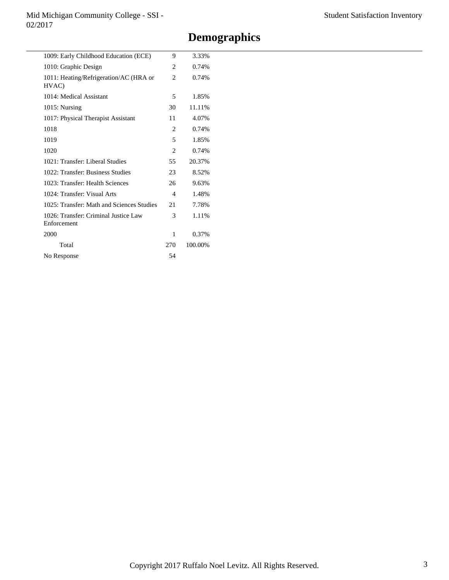# **Demographics**

| 1009: Early Childhood Education (ECE)               | 9                             | 3.33%   |
|-----------------------------------------------------|-------------------------------|---------|
| 1010: Graphic Design                                | 2                             | 0.74%   |
| 1011: Heating/Refrigeration/AC (HRA or<br>HVAC)     | $\mathfrak{D}_{\mathfrak{p}}$ | 0.74%   |
| 1014: Medical Assistant                             | 5                             | 1.85%   |
| $1015$ : Nursing                                    | 30                            | 11.11%  |
| 1017: Physical Therapist Assistant                  | 11                            | 4.07%   |
| 1018                                                | $\overline{c}$                | 0.74%   |
| 1019                                                | 5                             | 1.85%   |
| 1020                                                | $\mathfrak{D}_{\mathfrak{p}}$ | 0.74%   |
| 1021: Transfer: Liberal Studies                     | 55                            | 20.37%  |
| 1022: Transfer: Business Studies                    | 23                            | 8.52%   |
| 1023: Transfer: Health Sciences                     | 26                            | 9.63%   |
| 1024: Transfer: Visual Arts                         | 4                             | 1.48%   |
| 1025: Transfer: Math and Sciences Studies           | 21                            | 7.78%   |
| 1026: Transfer: Criminal Justice Law<br>Enforcement | 3                             | 1.11%   |
| 2000                                                | 1                             | 0.37%   |
| Total                                               | 270                           | 100.00% |
| No Response                                         | 54                            |         |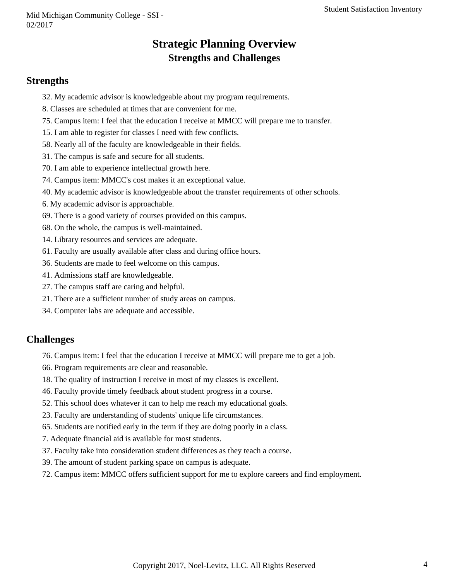## **Strategic Planning Overview Strengths and Challenges**

## **Strengths**

- 32. My academic advisor is knowledgeable about my program requirements.
- 8. Classes are scheduled at times that are convenient for me.
- 75. Campus item: I feel that the education I receive at MMCC will prepare me to transfer.
- 15. I am able to register for classes I need with few conflicts.
- 58. Nearly all of the faculty are knowledgeable in their fields.
- 31. The campus is safe and secure for all students.
- 70. I am able to experience intellectual growth here.
- 74. Campus item: MMCC's cost makes it an exceptional value.
- 40. My academic advisor is knowledgeable about the transfer requirements of other schools.
- 6. My academic advisor is approachable.
- 69. There is a good variety of courses provided on this campus.
- 68. On the whole, the campus is well-maintained.
- 14. Library resources and services are adequate.
- 61. Faculty are usually available after class and during office hours.
- 36. Students are made to feel welcome on this campus.
- 41. Admissions staff are knowledgeable.
- 27. The campus staff are caring and helpful.
- 21. There are a sufficient number of study areas on campus.
- 34. Computer labs are adequate and accessible.

## **Challenges**

- 76. Campus item: I feel that the education I receive at MMCC will prepare me to get a job.
- 66. Program requirements are clear and reasonable.
- 18. The quality of instruction I receive in most of my classes is excellent.
- 46. Faculty provide timely feedback about student progress in a course.
- 52. This school does whatever it can to help me reach my educational goals.
- 23. Faculty are understanding of students' unique life circumstances.
- 65. Students are notified early in the term if they are doing poorly in a class.
- 7. Adequate financial aid is available for most students.
- 37. Faculty take into consideration student differences as they teach a course.
- 39. The amount of student parking space on campus is adequate.
- 72. Campus item: MMCC offers sufficient support for me to explore careers and find employment.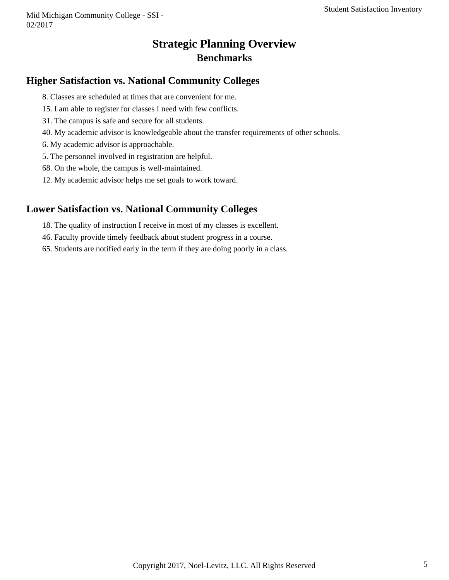## **Strategic Planning Overview Benchmarks**

## **Higher Satisfaction vs. National Community Colleges**

8. Classes are scheduled at times that are convenient for me.

- 15. I am able to register for classes I need with few conflicts.
- 31. The campus is safe and secure for all students.
- 40. My academic advisor is knowledgeable about the transfer requirements of other schools.

6. My academic advisor is approachable.

5. The personnel involved in registration are helpful.

68. On the whole, the campus is well-maintained.

12. My academic advisor helps me set goals to work toward.

## **Lower Satisfaction vs. National Community Colleges**

18. The quality of instruction I receive in most of my classes is excellent.

46. Faculty provide timely feedback about student progress in a course.

65. Students are notified early in the term if they are doing poorly in a class.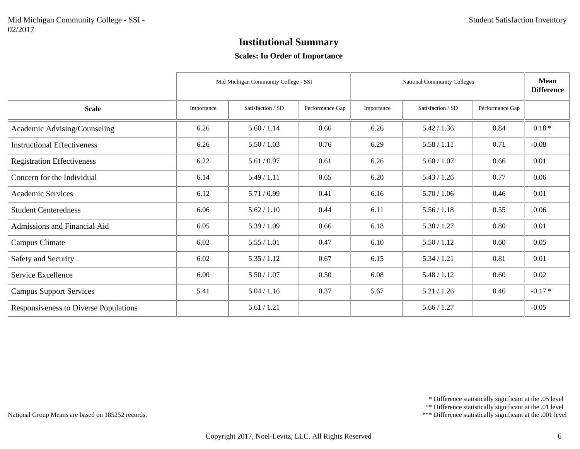#### **Scales: In Order of Importance**

|                                       |            | Mid Michigan Community College - SSI |                 | <b>National Community Colleges</b> | <b>Mean</b><br><b>Difference</b> |                 |          |
|---------------------------------------|------------|--------------------------------------|-----------------|------------------------------------|----------------------------------|-----------------|----------|
| <b>Scale</b>                          | Importance | Satisfaction / SD                    | Performance Gap | Importance                         | Satisfaction / SD                | Performance Gap |          |
| Academic Advising/Counseling          | 6.26       | 5.60 / 1.14                          | 0.66            | 6.26                               | 5.42 / 1.36                      | 0.84            | $0.18*$  |
| <b>Instructional Effectiveness</b>    | 6.26       | 5.50 / 1.03                          | 0.76            | 6.29                               | 5.58 / 1.11                      | 0.71            | $-0.08$  |
| <b>Registration Effectiveness</b>     | 6.22       | 5.61 / 0.97                          | 0.61            | 6.26                               | 5.60 / 1.07                      | 0.66            | 0.01     |
| Concern for the Individual            | 6.14       | 5.49 / 1.11                          | 0.65            | 6.20                               | 5.43 / 1.26                      | 0.77            | 0.06     |
| Academic Services                     | 6.12       | 5.71/0.99                            | 0.41            | 6.16                               | 5.70 / 1.06                      | 0.46            | 0.01     |
| <b>Student Centeredness</b>           | 6.06       | 5.62 / 1.10                          | 0.44            | 6.11                               | 5.56 / 1.18                      | 0.55            | 0.06     |
| Admissions and Financial Aid          | 6.05       | 5.39 / 1.09                          | 0.66            | 6.18                               | 5.38 / 1.27                      | 0.80            | 0.01     |
| Campus Climate                        | 6.02       | 5.55 / 1.01                          | 0.47            | 6.10                               | 5.50 / 1.12                      | 0.60            | 0.05     |
| Safety and Security                   | 6.02       | 5.35/1.12                            | 0.67            | 6.15                               | 5.34 / 1.21                      | 0.81            | 0.01     |
| Service Excellence                    | 6.00       | 5.50 / 1.07                          | 0.50            | 6.08                               | 5.48 / 1.12                      | 0.60            | 0.02     |
| <b>Campus Support Services</b>        | 5.41       | 5.04 / 1.16                          | 0.37            | 5.67                               | 5.21 / 1.26                      | 0.46            | $-0.17*$ |
| Responsiveness to Diverse Populations |            | 5.61 / 1.21                          |                 |                                    | 5.66 / 1.27                      |                 | $-0.05$  |

\* Difference statistically significant at the .05 level

\*\* Difference statistically significant at the .01 level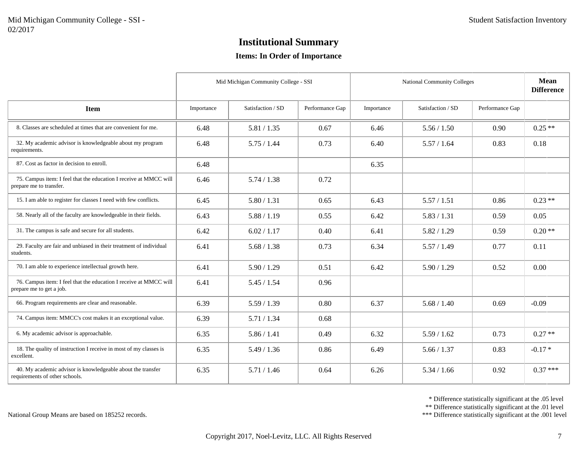## **Items: In Order of Importance**

|                                                                                               |            | Mid Michigan Community College - SSI |                 | <b>National Community Colleges</b> |                   |                 | <b>Mean</b><br><b>Difference</b> |
|-----------------------------------------------------------------------------------------------|------------|--------------------------------------|-----------------|------------------------------------|-------------------|-----------------|----------------------------------|
| <b>Item</b>                                                                                   | Importance | Satisfaction / SD                    | Performance Gap | Importance                         | Satisfaction / SD | Performance Gap |                                  |
| 8. Classes are scheduled at times that are convenient for me.                                 | 6.48       | 5.81 / 1.35                          | 0.67            | 6.46                               | 5.56 / 1.50       | 0.90            | $0.25**$                         |
| 32. My academic advisor is knowledgeable about my program<br>requirements.                    | 6.48       | 5.75/1.44                            | 0.73            | 6.40                               | 5.57 / 1.64       | 0.83            | 0.18                             |
| 87. Cost as factor in decision to enroll.                                                     | 6.48       |                                      |                 | 6.35                               |                   |                 |                                  |
| 75. Campus item: I feel that the education I receive at MMCC will<br>prepare me to transfer.  | 6.46       | 5.74 / 1.38                          | 0.72            |                                    |                   |                 |                                  |
| 15. I am able to register for classes I need with few conflicts.                              | 6.45       | 5.80 / 1.31                          | 0.65            | 6.43                               | 5.57/1.51         | 0.86            | $0.23**$                         |
| 58. Nearly all of the faculty are knowledgeable in their fields.                              | 6.43       | 5.88 / 1.19                          | 0.55            | 6.42                               | 5.83 / 1.31       | 0.59            | 0.05                             |
| 31. The campus is safe and secure for all students.                                           | 6.42       | 6.02 / 1.17                          | 0.40            | 6.41                               | 5.82 / 1.29       | 0.59            | $0.20**$                         |
| 29. Faculty are fair and unbiased in their treatment of individual<br>students.               | 6.41       | 5.68 / 1.38                          | 0.73            | 6.34                               | 5.57/1.49         | 0.77            | 0.11                             |
| 70. I am able to experience intellectual growth here.                                         | 6.41       | 5.90 / 1.29                          | 0.51            | 6.42                               | 5.90 / 1.29       | 0.52            | 0.00                             |
| 76. Campus item: I feel that the education I receive at MMCC will<br>prepare me to get a job. | 6.41       | 5.45 / 1.54                          | 0.96            |                                    |                   |                 |                                  |
| 66. Program requirements are clear and reasonable.                                            | 6.39       | 5.59/1.39                            | 0.80            | 6.37                               | 5.68 / 1.40       | 0.69            | $-0.09$                          |
| 74. Campus item: MMCC's cost makes it an exceptional value.                                   | 6.39       | 5.71 / 1.34                          | 0.68            |                                    |                   |                 |                                  |
| 6. My academic advisor is approachable.                                                       | 6.35       | 5.86 / 1.41                          | 0.49            | 6.32                               | 5.59/1.62         | 0.73            | $0.27**$                         |
| 18. The quality of instruction I receive in most of my classes is<br>excellent.               | 6.35       | 5.49 / 1.36                          | 0.86            | 6.49                               | 5.66 / 1.37       | 0.83            | $-0.17*$                         |
| 40. My academic advisor is knowledgeable about the transfer<br>requirements of other schools. | 6.35       | 5.71 / 1.46                          | 0.64            | 6.26                               | 5.34 / 1.66       | 0.92            | $0.37***$                        |

\* Difference statistically significant at the .05 level

\*\* Difference statistically significant at the .01 level

\*\*\* Difference statistically significant at the .001 level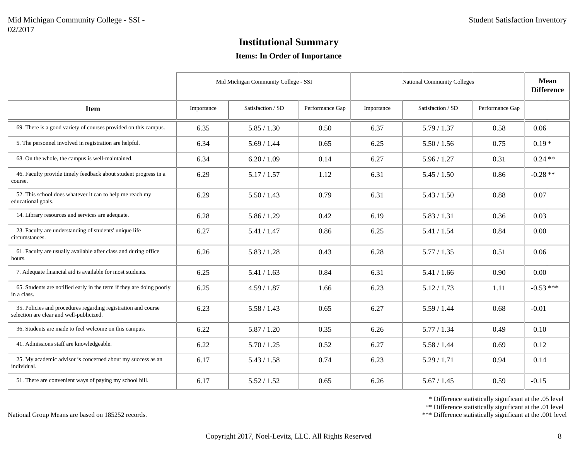## **Items: In Order of Importance**

|                                                                                                           |            | Mid Michigan Community College - SSI |                 | <b>National Community Colleges</b> |                   |                 | Mean<br><b>Difference</b> |
|-----------------------------------------------------------------------------------------------------------|------------|--------------------------------------|-----------------|------------------------------------|-------------------|-----------------|---------------------------|
| <b>Item</b>                                                                                               | Importance | Satisfaction / SD                    | Performance Gap | Importance                         | Satisfaction / SD | Performance Gap |                           |
| 69. There is a good variety of courses provided on this campus.                                           | 6.35       | 5.85 / 1.30                          | 0.50            | 6.37                               | 5.79/1.37         | 0.58            | 0.06                      |
| 5. The personnel involved in registration are helpful.                                                    | 6.34       | 5.69/1.44                            | 0.65            | 6.25                               | 5.50 / 1.56       | 0.75            | $0.19*$                   |
| 68. On the whole, the campus is well-maintained.                                                          | 6.34       | 6.20 / 1.09                          | 0.14            | 6.27                               | 5.96 / 1.27       | 0.31            | $0.24**$                  |
| 46. Faculty provide timely feedback about student progress in a<br>course.                                | 6.29       | 5.17 / 1.57                          | 1.12            | 6.31                               | 5.45/1.50         | 0.86            | $-0.28**$                 |
| 52. This school does whatever it can to help me reach my<br>educational goals.                            | 6.29       | 5.50 / 1.43                          | 0.79            | 6.31                               | 5.43 / 1.50       | 0.88            | 0.07                      |
| 14. Library resources and services are adequate.                                                          | 6.28       | 5.86 / 1.29                          | 0.42            | 6.19                               | 5.83 / 1.31       | 0.36            | 0.03                      |
| 23. Faculty are understanding of students' unique life<br>circumstances.                                  | 6.27       | 5.41 / 1.47                          | 0.86            | 6.25                               | 5.41 / 1.54       | 0.84            | 0.00                      |
| 61. Faculty are usually available after class and during office<br>hours.                                 | 6.26       | 5.83 / 1.28                          | 0.43            | 6.28                               | 5.77/1.35         | 0.51            | 0.06                      |
| 7. Adequate financial aid is available for most students.                                                 | 6.25       | 5.41 / 1.63                          | 0.84            | 6.31                               | 5.41 / 1.66       | 0.90            | 0.00                      |
| 65. Students are notified early in the term if they are doing poorly<br>in a class.                       | 6.25       | 4.59 / 1.87                          | 1.66            | 6.23                               | 5.12 / 1.73       | 1.11            | $-0.53$ ***               |
| 35. Policies and procedures regarding registration and course<br>selection are clear and well-publicized. | 6.23       | 5.58 / 1.43                          | 0.65            | 6.27                               | 5.59/1.44         | 0.68            | $-0.01$                   |
| 36. Students are made to feel welcome on this campus.                                                     | 6.22       | 5.87 / 1.20                          | 0.35            | 6.26                               | 5.77/1.34         | 0.49            | 0.10                      |
| 41. Admissions staff are knowledgeable.                                                                   | 6.22       | 5.70 / 1.25                          | 0.52            | 6.27                               | 5.58 / 1.44       | 0.69            | 0.12                      |
| 25. My academic advisor is concerned about my success as an<br>individual.                                | 6.17       | 5.43 / 1.58                          | 0.74            | 6.23                               | 5.29/1.71         | 0.94            | 0.14                      |
| 51. There are convenient ways of paying my school bill.                                                   | 6.17       | 5.52 / 1.52                          | 0.65            | 6.26                               | 5.67 / 1.45       | 0.59            | $-0.15$                   |

\* Difference statistically significant at the .05 level

\*\* Difference statistically significant at the .01 level

\*\*\* Difference statistically significant at the .001 level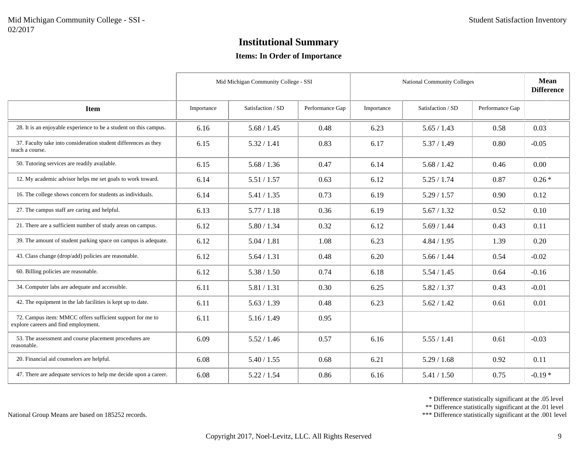## **Items: In Order of Importance**

|                                                                                                   |            | Mid Michigan Community College - SSI |                 | <b>National Community Colleges</b> |                   |                 | Mean<br><b>Difference</b> |
|---------------------------------------------------------------------------------------------------|------------|--------------------------------------|-----------------|------------------------------------|-------------------|-----------------|---------------------------|
| <b>Item</b>                                                                                       | Importance | Satisfaction / SD                    | Performance Gap | Importance                         | Satisfaction / SD | Performance Gap |                           |
| 28. It is an enjoyable experience to be a student on this campus.                                 | 6.16       | 5.68 / 1.45                          | 0.48            | 6.23                               | 5.65 / 1.43       | 0.58            | 0.03                      |
| 37. Faculty take into consideration student differences as they<br>teach a course.                | 6.15       | 5.32 / 1.41                          | 0.83            | 6.17                               | 5.37 / 1.49       | 0.80            | $-0.05$                   |
| 50. Tutoring services are readily available.                                                      | 6.15       | 5.68 / 1.36                          | 0.47            | 6.14                               | 5.68 / 1.42       | 0.46            | 0.00                      |
| 12. My academic advisor helps me set goals to work toward.                                        | 6.14       | 5.51 / 1.57                          | 0.63            | 6.12                               | 5.25/1.74         | 0.87            | $0.26*$                   |
| 16. The college shows concern for students as individuals.                                        | 6.14       | 5.41 / 1.35                          | 0.73            | 6.19                               | 5.29/1.57         | 0.90            | 0.12                      |
| 27. The campus staff are caring and helpful.                                                      | 6.13       | 5.77/1.18                            | 0.36            | 6.19                               | 5.67 / 1.32       | 0.52            | 0.10                      |
| 21. There are a sufficient number of study areas on campus.                                       | 6.12       | 5.80 / 1.34                          | 0.32            | 6.12                               | 5.69 / 1.44       | 0.43            | 0.11                      |
| 39. The amount of student parking space on campus is adequate.                                    | 6.12       | 5.04 / 1.81                          | 1.08            | 6.23                               | 4.84 / 1.95       | 1.39            | 0.20                      |
| 43. Class change (drop/add) policies are reasonable.                                              | 6.12       | 5.64 / 1.31                          | 0.48            | 6.20                               | 5.66 / 1.44       | 0.54            | $-0.02$                   |
| 60. Billing policies are reasonable.                                                              | 6.12       | 5.38 / 1.50                          | 0.74            | 6.18                               | 5.54 / 1.45       | 0.64            | $-0.16$                   |
| 34. Computer labs are adequate and accessible.                                                    | 6.11       | 5.81 / 1.31                          | 0.30            | 6.25                               | 5.82 / 1.37       | 0.43            | $-0.01$                   |
| 42. The equipment in the lab facilities is kept up to date.                                       | 6.11       | 5.63 / 1.39                          | 0.48            | 6.23                               | 5.62 / 1.42       | 0.61            | 0.01                      |
| 72. Campus item: MMCC offers sufficient support for me to<br>explore careers and find employment. | 6.11       | 5.16 / 1.49                          | 0.95            |                                    |                   |                 |                           |
| 53. The assessment and course placement procedures are<br>reasonable.                             | 6.09       | 5.52 / 1.46                          | 0.57            | 6.16                               | 5.55/1.41         | 0.61            | $-0.03$                   |
| 20. Financial aid counselors are helpful.                                                         | 6.08       | 5.40 / 1.55                          | 0.68            | 6.21                               | 5.29 / 1.68       | 0.92            | 0.11                      |
| 47. There are adequate services to help me decide upon a career.                                  | 6.08       | 5.22 / 1.54                          | 0.86            | 6.16                               | 5.41 / 1.50       | 0.75            | $-0.19*$                  |

\* Difference statistically significant at the .05 level

\*\* Difference statistically significant at the .01 level

\*\*\* Difference statistically significant at the .001 level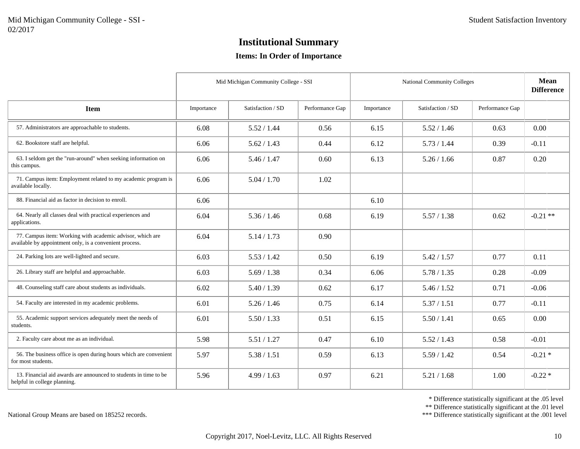## **Items: In Order of Importance**

|                                                                                                                      |            | Mid Michigan Community College - SSI |                 | <b>National Community Colleges</b> |                   |                 | <b>Mean</b><br><b>Difference</b> |
|----------------------------------------------------------------------------------------------------------------------|------------|--------------------------------------|-----------------|------------------------------------|-------------------|-----------------|----------------------------------|
| <b>Item</b>                                                                                                          | Importance | Satisfaction / SD                    | Performance Gap | Importance                         | Satisfaction / SD | Performance Gap |                                  |
| 57. Administrators are approachable to students.                                                                     | 6.08       | 5.52 / 1.44                          | 0.56            | 6.15                               | 5.52 / 1.46       | 0.63            | 0.00                             |
| 62. Bookstore staff are helpful.                                                                                     | 6.06       | 5.62 / 1.43                          | 0.44            | 6.12                               | 5.73 / 1.44       | 0.39            | $-0.11$                          |
| 63. I seldom get the "run-around" when seeking information on<br>this campus.                                        | 6.06       | 5.46 / 1.47                          | 0.60            | 6.13                               | 5.26 / 1.66       | 0.87            | 0.20                             |
| 71. Campus item: Employment related to my academic program is<br>available locally.                                  | 6.06       | 5.04 / 1.70                          | 1.02            |                                    |                   |                 |                                  |
| 88. Financial aid as factor in decision to enroll.                                                                   | 6.06       |                                      |                 | 6.10                               |                   |                 |                                  |
| 64. Nearly all classes deal with practical experiences and<br>applications.                                          | 6.04       | 5.36 / 1.46                          | 0.68            | 6.19                               | 5.57 / 1.38       | 0.62            | $-0.21**$                        |
| 77. Campus item: Working with academic advisor, which are<br>available by appointment only, is a convenient process. | 6.04       | 5.14 / 1.73                          | 0.90            |                                    |                   |                 |                                  |
| 24. Parking lots are well-lighted and secure.                                                                        | 6.03       | 5.53 / 1.42                          | 0.50            | 6.19                               | 5.42 / 1.57       | 0.77            | 0.11                             |
| 26. Library staff are helpful and approachable.                                                                      | 6.03       | 5.69/1.38                            | 0.34            | 6.06                               | 5.78 / 1.35       | 0.28            | $-0.09$                          |
| 48. Counseling staff care about students as individuals.                                                             | 6.02       | 5.40 / 1.39                          | 0.62            | 6.17                               | 5.46 / 1.52       | 0.71            | $-0.06$                          |
| 54. Faculty are interested in my academic problems.                                                                  | 6.01       | 5.26 / 1.46                          | 0.75            | 6.14                               | 5.37/1.51         | 0.77            | $-0.11$                          |
| 55. Academic support services adequately meet the needs of<br>students.                                              | 6.01       | 5.50 / 1.33                          | 0.51            | 6.15                               | 5.50/1.41         | 0.65            | 0.00                             |
| 2. Faculty care about me as an individual.                                                                           | 5.98       | 5.51 / 1.27                          | 0.47            | 6.10                               | 5.52 / 1.43       | 0.58            | $-0.01$                          |
| 56. The business office is open during hours which are convenient<br>for most students.                              | 5.97       | 5.38 / 1.51                          | 0.59            | 6.13                               | 5.59/1.42         | 0.54            | $-0.21*$                         |
| 13. Financial aid awards are announced to students in time to be<br>helpful in college planning.                     | 5.96       | 4.99 / 1.63                          | 0.97            | 6.21                               | 5.21 / 1.68       | 1.00            | $-0.22*$                         |

\* Difference statistically significant at the .05 level

\*\* Difference statistically significant at the .01 level

\*\*\* Difference statistically significant at the .001 level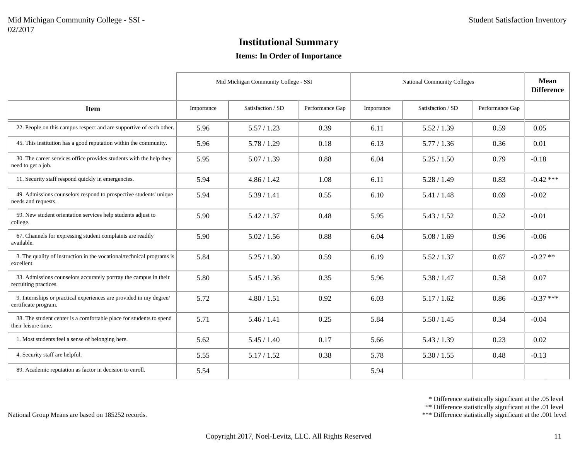## **Items: In Order of Importance**

|                                                                                            |            | Mid Michigan Community College - SSI |                 | <b>National Community Colleges</b> |                   |                 | <b>Mean</b><br><b>Difference</b> |
|--------------------------------------------------------------------------------------------|------------|--------------------------------------|-----------------|------------------------------------|-------------------|-----------------|----------------------------------|
| <b>Item</b>                                                                                | Importance | Satisfaction / SD                    | Performance Gap | Importance                         | Satisfaction / SD | Performance Gap |                                  |
| 22. People on this campus respect and are supportive of each other.                        | 5.96       | 5.57/1.23                            | 0.39            | 6.11                               | 5.52 / 1.39       | 0.59            | 0.05                             |
| 45. This institution has a good reputation within the community.                           | 5.96       | 5.78/1.29                            | 0.18            | 6.13                               | 5.77/1.36         | 0.36            | 0.01                             |
| 30. The career services office provides students with the help they<br>need to get a job.  | 5.95       | 5.07/1.39                            | 0.88            | 6.04                               | 5.25/1.50         | 0.79            | $-0.18$                          |
| 11. Security staff respond quickly in emergencies.                                         | 5.94       | 4.86 / 1.42                          | 1.08            | 6.11                               | 5.28 / 1.49       | 0.83            | $-0.42$ ***                      |
| 49. Admissions counselors respond to prospective students' unique<br>needs and requests.   | 5.94       | 5.39 / 1.41                          | 0.55            | 6.10                               | 5.41 / 1.48       | 0.69            | $-0.02$                          |
| 59. New student orientation services help students adjust to<br>college.                   | 5.90       | 5.42 / 1.37                          | 0.48            | 5.95                               | 5.43 / 1.52       | 0.52            | $-0.01$                          |
| 67. Channels for expressing student complaints are readily<br>available.                   | 5.90       | 5.02 / 1.56                          | 0.88            | 6.04                               | 5.08 / 1.69       | 0.96            | $-0.06$                          |
| 3. The quality of instruction in the vocational/technical programs is<br>excellent.        | 5.84       | 5.25/1.30                            | 0.59            | 6.19                               | 5.52 / 1.37       | 0.67            | $-0.27**$                        |
| 33. Admissions counselors accurately portray the campus in their<br>recruiting practices.  | 5.80       | 5.45/1.36                            | 0.35            | 5.96                               | 5.38 / 1.47       | 0.58            | 0.07                             |
| 9. Internships or practical experiences are provided in my degree/<br>certificate program. | 5.72       | 4.80 / 1.51                          | 0.92            | 6.03                               | 5.17 / 1.62       | 0.86            | $-0.37$ ***                      |
| 38. The student center is a comfortable place for students to spend<br>their leisure time. | 5.71       | 5.46/1.41                            | 0.25            | 5.84                               | 5.50 / 1.45       | 0.34            | $-0.04$                          |
| 1. Most students feel a sense of belonging here.                                           | 5.62       | 5.45/1.40                            | 0.17            | 5.66                               | 5.43 / 1.39       | 0.23            | 0.02                             |
| 4. Security staff are helpful.                                                             | 5.55       | 5.17/1.52                            | 0.38            | 5.78                               | 5.30 / 1.55       | 0.48            | $-0.13$                          |
| 89. Academic reputation as factor in decision to enroll.                                   | 5.54       |                                      |                 | 5.94                               |                   |                 |                                  |

\* Difference statistically significant at the .05 level

\*\* Difference statistically significant at the .01 level

\*\*\* Difference statistically significant at the .001 level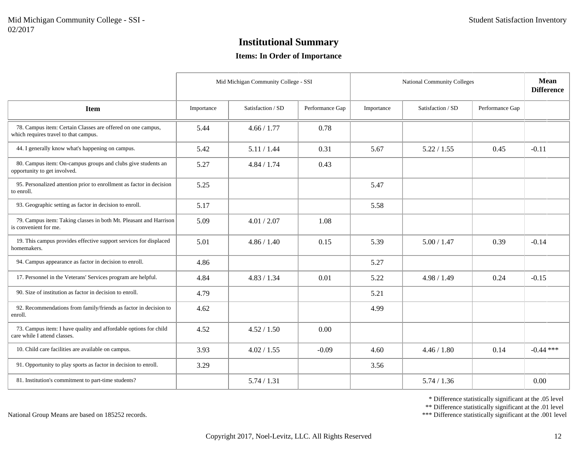## **Items: In Order of Importance**

|                                                                                                      |            | Mid Michigan Community College - SSI |                 | <b>National Community Colleges</b> |                   |                 | <b>Mean</b><br><b>Difference</b> |
|------------------------------------------------------------------------------------------------------|------------|--------------------------------------|-----------------|------------------------------------|-------------------|-----------------|----------------------------------|
| <b>Item</b>                                                                                          | Importance | Satisfaction / SD                    | Performance Gap | Importance                         | Satisfaction / SD | Performance Gap |                                  |
| 78. Campus item: Certain Classes are offered on one campus,<br>which requires travel to that campus. | 5.44       | 4.66 / 1.77                          | 0.78            |                                    |                   |                 |                                  |
| 44. I generally know what's happening on campus.                                                     | 5.42       | 5.11 / 1.44                          | 0.31            | 5.67                               | 5.22 / 1.55       | 0.45            | $-0.11$                          |
| 80. Campus item: On-campus groups and clubs give students an<br>opportunity to get involved.         | 5.27       | 4.84 / 1.74                          | 0.43            |                                    |                   |                 |                                  |
| 95. Personalized attention prior to enrollment as factor in decision<br>to enroll.                   | 5.25       |                                      |                 | 5.47                               |                   |                 |                                  |
| 93. Geographic setting as factor in decision to enroll.                                              | 5.17       |                                      |                 | 5.58                               |                   |                 |                                  |
| 79. Campus item: Taking classes in both Mt. Pleasant and Harrison<br>is convenient for me.           | 5.09       | 4.01 / 2.07                          | 1.08            |                                    |                   |                 |                                  |
| 19. This campus provides effective support services for displaced<br>homemakers.                     | 5.01       | 4.86 / 1.40                          | 0.15            | 5.39                               | 5.00 / 1.47       | 0.39            | $-0.14$                          |
| 94. Campus appearance as factor in decision to enroll.                                               | 4.86       |                                      |                 | 5.27                               |                   |                 |                                  |
| 17. Personnel in the Veterans' Services program are helpful.                                         | 4.84       | 4.83 / 1.34                          | 0.01            | 5.22                               | 4.98 / 1.49       | 0.24            | $-0.15$                          |
| 90. Size of institution as factor in decision to enroll.                                             | 4.79       |                                      |                 | 5.21                               |                   |                 |                                  |
| 92. Recommendations from family/friends as factor in decision to<br>enroll.                          | 4.62       |                                      |                 | 4.99                               |                   |                 |                                  |
| 73. Campus item: I have quality and affordable options for child<br>care while I attend classes.     | 4.52       | 4.52 / 1.50                          | 0.00            |                                    |                   |                 |                                  |
| 10. Child care facilities are available on campus.                                                   | 3.93       | 4.02 / 1.55                          | $-0.09$         | 4.60                               | 4.46 / 1.80       | 0.14            | $-0.44$ ***                      |
| 91. Opportunity to play sports as factor in decision to enroll.                                      | 3.29       |                                      |                 | 3.56                               |                   |                 |                                  |
| 81. Institution's commitment to part-time students?                                                  |            | 5.74 / 1.31                          |                 |                                    | 5.74 / 1.36       |                 | 0.00                             |

\* Difference statistically significant at the .05 level

\*\* Difference statistically significant at the .01 level

\*\*\* Difference statistically significant at the .001 level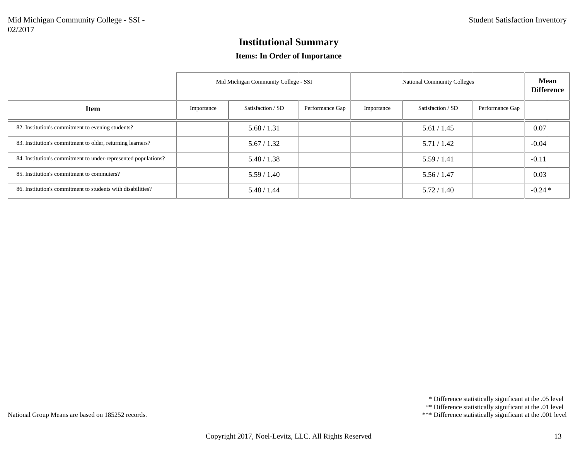## **Items: In Order of Importance**

|                                                                |            | Mid Michigan Community College - SSI |                 | <b>National Community Colleges</b> | Mean<br><b>Difference</b> |                 |          |
|----------------------------------------------------------------|------------|--------------------------------------|-----------------|------------------------------------|---------------------------|-----------------|----------|
| <b>Item</b>                                                    | Importance | Satisfaction / SD                    | Performance Gap | Importance                         | Satisfaction / SD         | Performance Gap |          |
| 82. Institution's commitment to evening students?              |            | 5.68 / 1.31                          |                 |                                    | 5.61 / 1.45               |                 | 0.07     |
| 83. Institution's commitment to older, returning learners?     |            | 5.67 / 1.32                          |                 |                                    | 5.71/1.42                 |                 | $-0.04$  |
| 84. Institution's commitment to under-represented populations? |            | 5.48 / 1.38                          |                 |                                    | 5.59/1.41                 |                 | $-0.11$  |
| 85. Institution's commitment to commuters?                     |            | 5.59/1.40                            |                 |                                    | 5.56 / 1.47               |                 | 0.03     |
| 86. Institution's commitment to students with disabilities?    |            | 5.48 / 1.44                          |                 |                                    | 5.72 / 1.40               |                 | $-0.24*$ |

\* Difference statistically significant at the .05 level

\*\* Difference statistically significant at the .01 level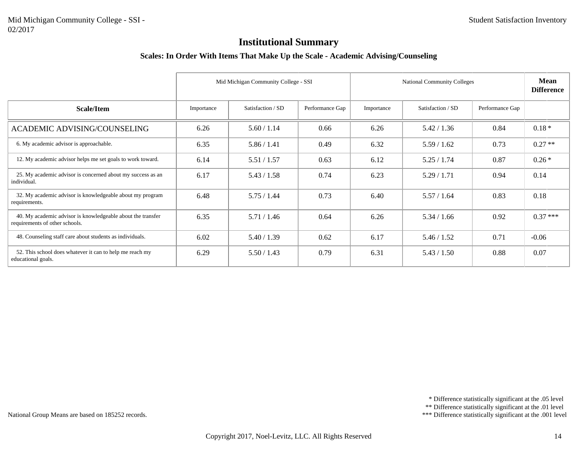#### **Scales: In Order With Items That Make Up the Scale - Academic Advising/Counseling**

|                                                                                               |            | Mid Michigan Community College - SSI |                 | <b>National Community Colleges</b> | <b>Mean</b><br><b>Difference</b> |                 |           |
|-----------------------------------------------------------------------------------------------|------------|--------------------------------------|-----------------|------------------------------------|----------------------------------|-----------------|-----------|
| Scale/Item                                                                                    | Importance | Satisfaction / SD                    | Performance Gap | Importance                         | Satisfaction / SD                | Performance Gap |           |
| <b>ACADEMIC ADVISING/COUNSELING</b>                                                           | 6.26       | 5.60 / 1.14                          | 0.66            | 6.26                               | 5.42 / 1.36                      | 0.84            | $0.18*$   |
| 6. My academic advisor is approachable.                                                       | 6.35       | 5.86 / 1.41                          | 0.49            | 6.32                               | 5.59/1.62                        | 0.73            | $0.27**$  |
| 12. My academic advisor helps me set goals to work toward.                                    | 6.14       | 5.51 / 1.57                          | 0.63            | 6.12                               | 5.25/1.74                        | 0.87            | $0.26*$   |
| 25. My academic advisor is concerned about my success as an<br>individual.                    | 6.17       | 5.43 / 1.58                          | 0.74            | 6.23                               | 5.29/1.71                        | 0.94            | 0.14      |
| 32. My academic advisor is knowledgeable about my program<br>requirements.                    | 6.48       | 5.75/1.44                            | 0.73            | 6.40                               | 5.57/1.64                        | 0.83            | 0.18      |
| 40. My academic advisor is knowledgeable about the transfer<br>requirements of other schools. | 6.35       | 5.71/1.46                            | 0.64            | 6.26                               | 5.34 / 1.66                      | 0.92            | $0.37***$ |
| 48. Counseling staff care about students as individuals.                                      | 6.02       | 5.40 / 1.39                          | 0.62            | 6.17                               | 5.46 / 1.52                      | 0.71            | $-0.06$   |
| 52. This school does whatever it can to help me reach my<br>educational goals.                | 6.29       | 5.50/1.43                            | 0.79            | 6.31                               | 5.43 / 1.50                      | 0.88            | 0.07      |

\* Difference statistically significant at the .05 level

\*\* Difference statistically significant at the .01 level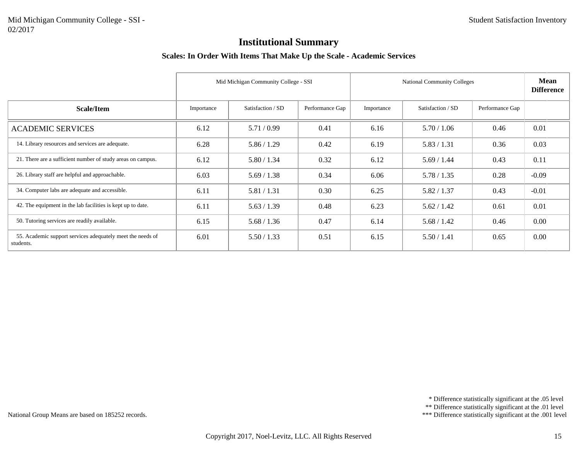#### **Scales: In Order With Items That Make Up the Scale - Academic Services**

|                                                                         | Mid Michigan Community College - SSI<br><b>National Community Colleges</b> |                   |                 |            |                   | <b>Mean</b><br><b>Difference</b> |         |
|-------------------------------------------------------------------------|----------------------------------------------------------------------------|-------------------|-----------------|------------|-------------------|----------------------------------|---------|
| Scale/Item                                                              | Importance                                                                 | Satisfaction / SD | Performance Gap | Importance | Satisfaction / SD | Performance Gap                  |         |
| <b>ACADEMIC SERVICES</b>                                                | 6.12                                                                       | 5.71/0.99         | 0.41            | 6.16       | 5.70 / 1.06       | 0.46                             | 0.01    |
| 14. Library resources and services are adequate.                        | 6.28                                                                       | 5.86 / 1.29       | 0.42            | 6.19       | 5.83 / 1.31       | 0.36                             | 0.03    |
| 21. There are a sufficient number of study areas on campus.             | 6.12                                                                       | 5.80 / 1.34       | 0.32            | 6.12       | 5.69/1.44         | 0.43                             | 0.11    |
| 26. Library staff are helpful and approachable.                         | 6.03                                                                       | 5.69/1.38         | 0.34            | 6.06       | 5.78/1.35         | 0.28                             | $-0.09$ |
| 34. Computer labs are adequate and accessible.                          | 6.11                                                                       | 5.81 / 1.31       | 0.30            | 6.25       | 5.82 / 1.37       | 0.43                             | $-0.01$ |
| 42. The equipment in the lab facilities is kept up to date.             | 6.11                                                                       | 5.63 / 1.39       | 0.48            | 6.23       | 5.62 / 1.42       | 0.61                             | 0.01    |
| 50. Tutoring services are readily available.                            | 6.15                                                                       | 5.68 / 1.36       | 0.47            | 6.14       | 5.68 / 1.42       | 0.46                             | 0.00    |
| 55. Academic support services adequately meet the needs of<br>students. | 6.01                                                                       | 5.50 / 1.33       | 0.51            | 6.15       | 5.50/1.41         | 0.65                             | 0.00    |

\* Difference statistically significant at the .05 level

\*\* Difference statistically significant at the .01 level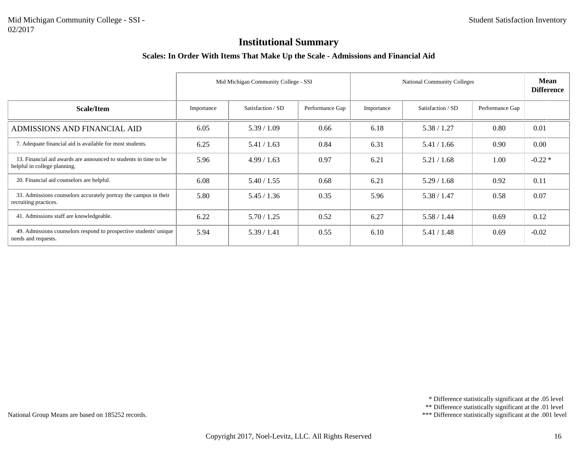#### **Scales: In Order With Items That Make Up the Scale - Admissions and Financial Aid**

|                                                                                                  |            | Mid Michigan Community College - SSI | <b>National Community Colleges</b> |            |                   |                 |          |
|--------------------------------------------------------------------------------------------------|------------|--------------------------------------|------------------------------------|------------|-------------------|-----------------|----------|
| Scale/Item                                                                                       | Importance | Satisfaction / SD                    | Performance Gap                    | Importance | Satisfaction / SD | Performance Gap |          |
| ADMISSIONS AND FINANCIAL AID                                                                     | 6.05       | 5.39/1.09                            | 0.66                               | 6.18       | 5.38 / 1.27       | 0.80            | 0.01     |
| 7. Adequate financial aid is available for most students.                                        | 6.25       | 5.41 / 1.63                          | 0.84                               | 6.31       | 5.41 / 1.66       | 0.90            | 0.00     |
| 13. Financial aid awards are announced to students in time to be<br>helpful in college planning. | 5.96       | 4.99/1.63                            | 0.97                               | 6.21       | 5.21/1.68         | 1.00            | $-0.22*$ |
| 20. Financial aid counselors are helpful.                                                        | 6.08       | 5.40 / 1.55                          | 0.68                               | 6.21       | 5.29/1.68         | 0.92            | 0.11     |
| 33. Admissions counselors accurately portray the campus in their<br>recruiting practices.        | 5.80       | 5.45/1.36                            | 0.35                               | 5.96       | 5.38 / 1.47       | 0.58            | 0.07     |
| 41. Admissions staff are knowledgeable.                                                          | 6.22       | 5.70/1.25                            | 0.52                               | 6.27       | 5.58 / 1.44       | 0.69            | 0.12     |
| 49. Admissions counselors respond to prospective students' unique<br>needs and requests.         | 5.94       | 5.39/1.41                            | 0.55                               | 6.10       | 5.41 / 1.48       | 0.69            | $-0.02$  |

\* Difference statistically significant at the .05 level

\*\* Difference statistically significant at the .01 level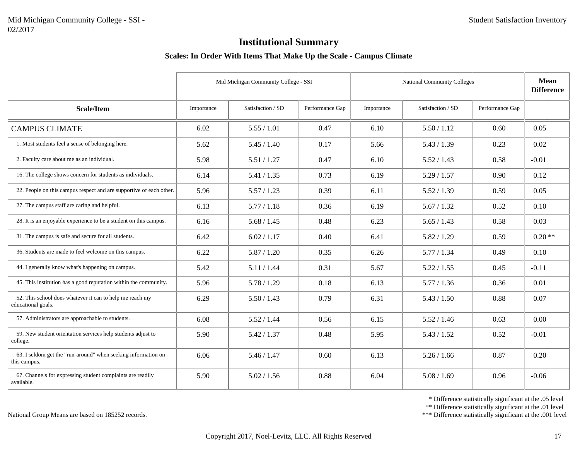#### **Scales: In Order With Items That Make Up the Scale - Campus Climate**

|                                                                                |            | Mid Michigan Community College - SSI |                 |            | <b>National Community Colleges</b> |                 |          |
|--------------------------------------------------------------------------------|------------|--------------------------------------|-----------------|------------|------------------------------------|-----------------|----------|
| Scale/Item                                                                     | Importance | Satisfaction / SD                    | Performance Gap | Importance | Satisfaction / SD                  | Performance Gap |          |
| <b>CAMPUS CLIMATE</b>                                                          | 6.02       | 5.55/1.01                            | 0.47            | 6.10       | 5.50 / 1.12                        | 0.60            | 0.05     |
| 1. Most students feel a sense of belonging here.                               | 5.62       | 5.45 / 1.40                          | 0.17            | 5.66       | 5.43 / 1.39                        | 0.23            | 0.02     |
| 2. Faculty care about me as an individual.                                     | 5.98       | 5.51 / 1.27                          | 0.47            | 6.10       | 5.52 / 1.43                        | 0.58            | $-0.01$  |
| 16. The college shows concern for students as individuals.                     | 6.14       | 5.41 / 1.35                          | 0.73            | 6.19       | 5.29 / 1.57                        | 0.90            | 0.12     |
| 22. People on this campus respect and are supportive of each other.            | 5.96       | 5.57/1.23                            | 0.39            | 6.11       | 5.52 / 1.39                        | 0.59            | 0.05     |
| 27. The campus staff are caring and helpful.                                   | 6.13       | 5.77/1.18                            | 0.36            | 6.19       | 5.67 / 1.32                        | 0.52            | 0.10     |
| 28. It is an enjoyable experience to be a student on this campus.              | 6.16       | 5.68 / 1.45                          | 0.48            | 6.23       | 5.65 / 1.43                        | 0.58            | 0.03     |
| 31. The campus is safe and secure for all students.                            | 6.42       | 6.02 / 1.17                          | 0.40            | 6.41       | 5.82 / 1.29                        | 0.59            | $0.20**$ |
| 36. Students are made to feel welcome on this campus.                          | 6.22       | 5.87/1.20                            | 0.35            | 6.26       | 5.77/1.34                          | 0.49            | 0.10     |
| 44. I generally know what's happening on campus.                               | 5.42       | 5.11 / 1.44                          | 0.31            | 5.67       | 5.22 / 1.55                        | 0.45            | $-0.11$  |
| 45. This institution has a good reputation within the community.               | 5.96       | 5.78 / 1.29                          | 0.18            | 6.13       | 5.77/1.36                          | 0.36            | 0.01     |
| 52. This school does whatever it can to help me reach my<br>educational goals. | 6.29       | 5.50 / 1.43                          | 0.79            | 6.31       | 5.43 / 1.50                        | 0.88            | 0.07     |
| 57. Administrators are approachable to students.                               | 6.08       | 5.52 / 1.44                          | 0.56            | 6.15       | 5.52 / 1.46                        | 0.63            | 0.00     |
| 59. New student orientation services help students adjust to<br>college.       | 5.90       | 5.42 / 1.37                          | 0.48            | 5.95       | 5.43 / 1.52                        | 0.52            | $-0.01$  |
| 63. I seldom get the "run-around" when seeking information on<br>this campus.  | 6.06       | 5.46 / 1.47                          | 0.60            | 6.13       | 5.26 / 1.66                        | 0.87            | 0.20     |
| 67. Channels for expressing student complaints are readily<br>available.       | 5.90       | 5.02 / 1.56                          | 0.88            | 6.04       | 5.08 / 1.69                        | 0.96            | $-0.06$  |

\* Difference statistically significant at the .05 level

\*\* Difference statistically significant at the .01 level

\*\*\* Difference statistically significant at the .001 level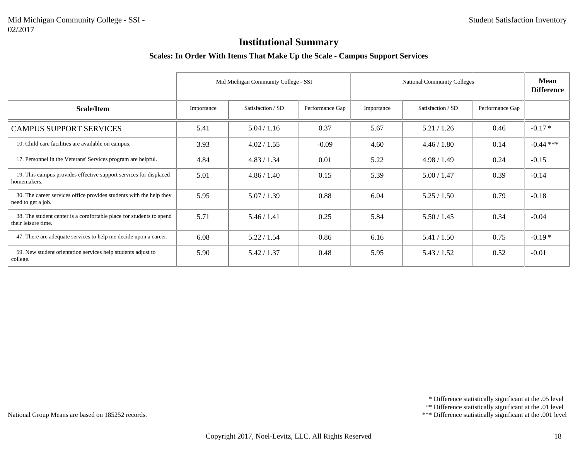#### **Scales: In Order With Items That Make Up the Scale - Campus Support Services**

|                                                                                            |            | Mid Michigan Community College - SSI |                 | <b>National Community Colleges</b> | <b>Mean</b><br><b>Difference</b> |                 |             |
|--------------------------------------------------------------------------------------------|------------|--------------------------------------|-----------------|------------------------------------|----------------------------------|-----------------|-------------|
| Scale/Item                                                                                 | Importance | Satisfaction / SD                    | Performance Gap | Importance                         | Satisfaction / SD                | Performance Gap |             |
| <b>CAMPUS SUPPORT SERVICES</b>                                                             | 5.41       | 5.04 / 1.16                          | 0.37            | 5.67                               | 5.21 / 1.26                      | 0.46            | $-0.17*$    |
| 10. Child care facilities are available on campus.                                         | 3.93       | 4.02 / 1.55                          | $-0.09$         | 4.60                               | 4.46 / 1.80                      | 0.14            | $-0.44$ *** |
| 17. Personnel in the Veterans' Services program are helpful.                               | 4.84       | 4.83 / 1.34                          | 0.01            | 5.22                               | 4.98 / 1.49                      | 0.24            | $-0.15$     |
| 19. This campus provides effective support services for displaced<br>homemakers.           | 5.01       | 4.86 / 1.40                          | 0.15            | 5.39                               | 5.00 / 1.47                      | 0.39            | $-0.14$     |
| 30. The career services office provides students with the help they<br>need to get a job.  | 5.95       | 5.07 / 1.39                          | 0.88            | 6.04                               | 5.25/1.50                        | 0.79            | $-0.18$     |
| 38. The student center is a comfortable place for students to spend<br>their leisure time. | 5.71       | 5.46 / 1.41                          | 0.25            | 5.84                               | 5.50 / 1.45                      | 0.34            | $-0.04$     |
| 47. There are adequate services to help me decide upon a career.                           | 6.08       | 5.22 / 1.54                          | 0.86            | 6.16                               | 5.41 / 1.50                      | 0.75            | $-0.19*$    |
| 59. New student orientation services help students adjust to<br>college.                   | 5.90       | 5.42 / 1.37                          | 0.48            | 5.95                               | 5.43 / 1.52                      | 0.52            | $-0.01$     |

\* Difference statistically significant at the .05 level

\*\* Difference statistically significant at the .01 level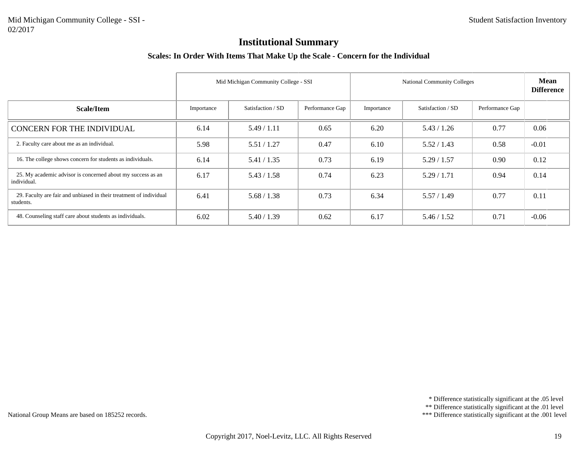#### **Scales: In Order With Items That Make Up the Scale - Concern for the Individual**

|                                                                                 | Mid Michigan Community College - SSI<br><b>National Community Colleges</b> |                   |                 |            |                   |                 | <b>Mean</b><br><b>Difference</b> |
|---------------------------------------------------------------------------------|----------------------------------------------------------------------------|-------------------|-----------------|------------|-------------------|-----------------|----------------------------------|
| Scale/Item                                                                      | Importance                                                                 | Satisfaction / SD | Performance Gap | Importance | Satisfaction / SD | Performance Gap |                                  |
| <b>CONCERN FOR THE INDIVIDUAL</b>                                               | 6.14                                                                       | 5.49/1.11         | 0.65            | 6.20       | 5.43 / 1.26       | 0.77            | 0.06                             |
| 2. Faculty care about me as an individual.                                      | 5.98                                                                       | 5.51/1.27         | 0.47            | 6.10       | 5.52 / 1.43       | 0.58            | $-0.01$                          |
| 16. The college shows concern for students as individuals.                      | 6.14                                                                       | 5.41 / 1.35       | 0.73            | 6.19       | 5.29/1.57         | 0.90            | 0.12                             |
| 25. My academic advisor is concerned about my success as an<br>individual.      | 6.17                                                                       | 5.43/1.58         | 0.74            | 6.23       | 5.29/1.71         | 0.94            | 0.14                             |
| 29. Faculty are fair and unbiased in their treatment of individual<br>students. | 6.41                                                                       | 5.68 / 1.38       | 0.73            | 6.34       | 5.57/1.49         | 0.77            | 0.11                             |
| 48. Counseling staff care about students as individuals.                        | 6.02                                                                       | 5.40/1.39         | 0.62            | 6.17       | 5.46 / 1.52       | 0.71            | $-0.06$                          |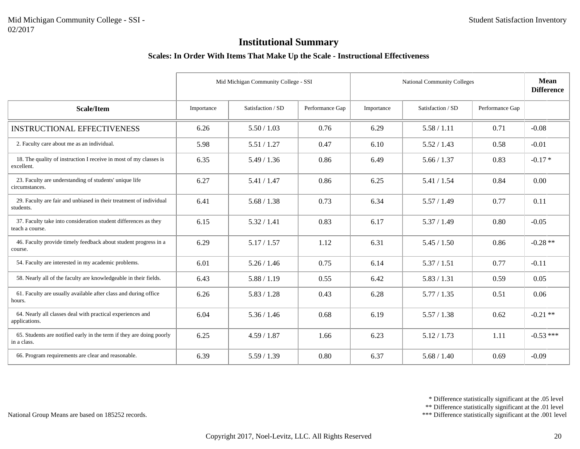#### **Scales: In Order With Items That Make Up the Scale - Instructional Effectiveness**

|                                                                                     |            | Mid Michigan Community College - SSI |                 |            | <b>National Community Colleges</b> |                 |             |
|-------------------------------------------------------------------------------------|------------|--------------------------------------|-----------------|------------|------------------------------------|-----------------|-------------|
| Scale/Item                                                                          | Importance | Satisfaction / SD                    | Performance Gap | Importance | Satisfaction / SD                  | Performance Gap |             |
| <b>INSTRUCTIONAL EFFECTIVENESS</b>                                                  | 6.26       | 5.50 / 1.03                          | 0.76            | 6.29       | 5.58 / 1.11                        | 0.71            | $-0.08$     |
| 2. Faculty care about me as an individual.                                          | 5.98       | 5.51 / 1.27                          | 0.47            | 6.10       | 5.52 / 1.43                        | 0.58            | $-0.01$     |
| 18. The quality of instruction I receive in most of my classes is<br>excellent.     | 6.35       | 5.49/1.36                            | 0.86            | 6.49       | 5.66 / 1.37                        | 0.83            | $-0.17*$    |
| 23. Faculty are understanding of students' unique life<br>circumstances.            | 6.27       | 5.41 / 1.47                          | 0.86            | 6.25       | 5.41 / 1.54                        | 0.84            | 0.00        |
| 29. Faculty are fair and unbiased in their treatment of individual<br>students.     | 6.41       | 5.68 / 1.38                          | 0.73            | 6.34       | 5.57/1.49                          | 0.77            | 0.11        |
| 37. Faculty take into consideration student differences as they<br>teach a course.  | 6.15       | 5.32 / 1.41                          | 0.83            | 6.17       | 5.37/1.49                          | 0.80            | $-0.05$     |
| 46. Faculty provide timely feedback about student progress in a<br>course.          | 6.29       | 5.17 / 1.57                          | 1.12            | 6.31       | 5.45/1.50                          | 0.86            | $-0.28**$   |
| 54. Faculty are interested in my academic problems.                                 | 6.01       | 5.26 / 1.46                          | 0.75            | 6.14       | 5.37/1.51                          | 0.77            | $-0.11$     |
| 58. Nearly all of the faculty are knowledgeable in their fields.                    | 6.43       | 5.88 / 1.19                          | 0.55            | 6.42       | 5.83 / 1.31                        | 0.59            | 0.05        |
| 61. Faculty are usually available after class and during office<br>hours.           | 6.26       | 5.83 / 1.28                          | 0.43            | 6.28       | 5.77/1.35                          | 0.51            | 0.06        |
| 64. Nearly all classes deal with practical experiences and<br>applications.         | 6.04       | 5.36 / 1.46                          | 0.68            | 6.19       | 5.57 / 1.38                        | 0.62            | $-0.21**$   |
| 65. Students are notified early in the term if they are doing poorly<br>in a class. | 6.25       | 4.59 / 1.87                          | 1.66            | 6.23       | 5.12 / 1.73                        | 1.11            | $-0.53$ *** |
| 66. Program requirements are clear and reasonable.                                  | 6.39       | 5.59/1.39                            | 0.80            | 6.37       | 5.68 / 1.40                        | 0.69            | $-0.09$     |

\* Difference statistically significant at the .05 level

\*\* Difference statistically significant at the .01 level

\*\*\* Difference statistically significant at the .001 level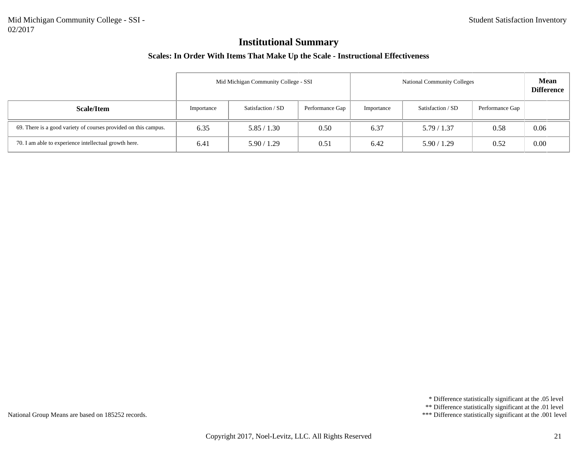#### **Scales: In Order With Items That Make Up the Scale - Instructional Effectiveness**

|                                                                 | Mid Michigan Community College - SSI<br><b>National Community Colleges</b> |                   |                 |            |                   |                 | <b>Mean</b><br><b>Difference</b> |
|-----------------------------------------------------------------|----------------------------------------------------------------------------|-------------------|-----------------|------------|-------------------|-----------------|----------------------------------|
| <b>Scale/Item</b>                                               | Importance                                                                 | Satisfaction / SD | Performance Gap | Importance | Satisfaction / SD | Performance Gap |                                  |
| 69. There is a good variety of courses provided on this campus. | 6.35                                                                       | 5.85 / 1.30       | 0.50            | 6.37       | 5.79 / 1.37       | 0.58            | 0.06                             |
| 70. I am able to experience intellectual growth here.           | 6.41                                                                       | 5.90/1.29         | 0.51            | 6.42       | 5.90/1.29         | 0.52            | 0.00                             |

\* Difference statistically significant at the .05 level

\*\* Difference statistically significant at the .01 level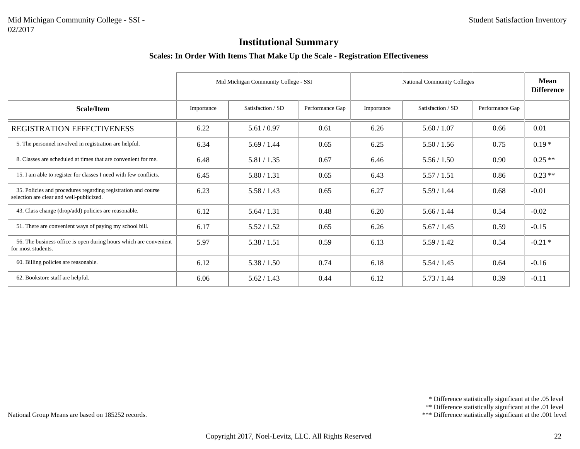#### **Scales: In Order With Items That Make Up the Scale - Registration Effectiveness**

|                                                                                                           |            | Mid Michigan Community College - SSI |                 |            | <b>National Community Colleges</b> |                 |          |
|-----------------------------------------------------------------------------------------------------------|------------|--------------------------------------|-----------------|------------|------------------------------------|-----------------|----------|
| <b>Scale/Item</b>                                                                                         | Importance | Satisfaction / SD                    | Performance Gap | Importance | Satisfaction / SD                  | Performance Gap |          |
| REGISTRATION EFFECTIVENESS                                                                                | 6.22       | 5.61/0.97                            | 0.61            | 6.26       | 5.60 / 1.07                        | 0.66            | 0.01     |
| 5. The personnel involved in registration are helpful.                                                    | 6.34       | 5.69/1.44                            | 0.65            | 6.25       | 5.50 / 1.56                        | 0.75            | $0.19*$  |
| 8. Classes are scheduled at times that are convenient for me.                                             | 6.48       | 5.81 / 1.35                          | 0.67            | 6.46       | 5.56 / 1.50                        | 0.90            | $0.25**$ |
| 15. I am able to register for classes I need with few conflicts.                                          | 6.45       | 5.80 / 1.31                          | 0.65            | 6.43       | 5.57/1.51                          | 0.86            | $0.23**$ |
| 35. Policies and procedures regarding registration and course<br>selection are clear and well-publicized. | 6.23       | 5.58 / 1.43                          | 0.65            | 6.27       | 5.59 / 1.44                        | 0.68            | $-0.01$  |
| 43. Class change (drop/add) policies are reasonable.                                                      | 6.12       | 5.64 / 1.31                          | 0.48            | 6.20       | 5.66 / 1.44                        | 0.54            | $-0.02$  |
| 51. There are convenient ways of paying my school bill.                                                   | 6.17       | 5.52 / 1.52                          | 0.65            | 6.26       | 5.67 / 1.45                        | 0.59            | $-0.15$  |
| 56. The business office is open during hours which are convenient<br>for most students.                   | 5.97       | 5.38 / 1.51                          | 0.59            | 6.13       | 5.59/1.42                          | 0.54            | $-0.21*$ |
| 60. Billing policies are reasonable.                                                                      | 6.12       | 5.38 / 1.50                          | 0.74            | 6.18       | 5.54 / 1.45                        | 0.64            | $-0.16$  |
| 62. Bookstore staff are helpful.                                                                          | 6.06       | 5.62 / 1.43                          | 0.44            | 6.12       | 5.73/1.44                          | 0.39            | $-0.11$  |

\* Difference statistically significant at the .05 level

\*\* Difference statistically significant at the .01 level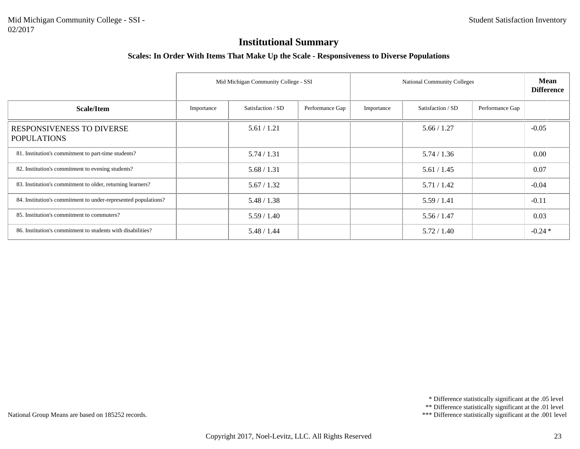#### **Scales: In Order With Items That Make Up the Scale - Responsiveness to Diverse Populations**

|                                                                |            | Mid Michigan Community College - SSI |                 | <b>National Community Colleges</b> |                   |                 |          |  |
|----------------------------------------------------------------|------------|--------------------------------------|-----------------|------------------------------------|-------------------|-----------------|----------|--|
| Scale/Item                                                     | Importance | Satisfaction / SD                    | Performance Gap | Importance                         | Satisfaction / SD | Performance Gap |          |  |
| <b>RESPONSIVENESS TO DIVERSE</b><br><b>POPULATIONS</b>         |            | 5.61 / 1.21                          |                 |                                    | 5.66 / 1.27       |                 | $-0.05$  |  |
| 81. Institution's commitment to part-time students?            |            | 5.74 / 1.31                          |                 |                                    | 5.74/1.36         |                 | 0.00     |  |
| 82. Institution's commitment to evening students?              |            | 5.68 / 1.31                          |                 |                                    | 5.61 / 1.45       |                 | 0.07     |  |
| 83. Institution's commitment to older, returning learners?     |            | 5.67 / 1.32                          |                 |                                    | 5.71/1.42         |                 | $-0.04$  |  |
| 84. Institution's commitment to under-represented populations? |            | 5.48 / 1.38                          |                 |                                    | 5.59/1.41         |                 | $-0.11$  |  |
| 85. Institution's commitment to commuters?                     |            | 5.59/1.40                            |                 |                                    | 5.56 / 1.47       |                 | 0.03     |  |
| 86. Institution's commitment to students with disabilities?    |            | 5.48 / 1.44                          |                 |                                    | 5.72 / 1.40       |                 | $-0.24*$ |  |

\* Difference statistically significant at the .05 level

\*\* Difference statistically significant at the .01 level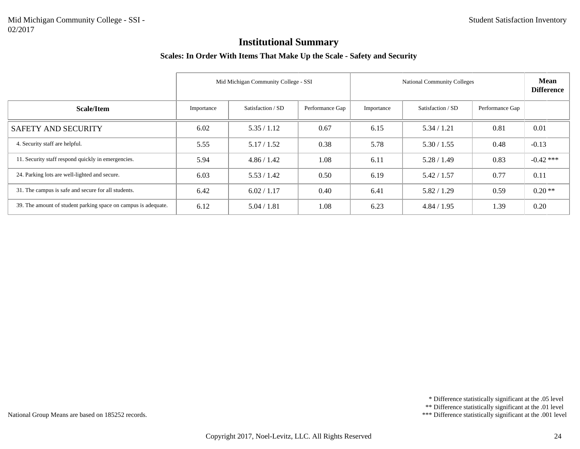#### **Scales: In Order With Items That Make Up the Scale - Safety and Security**

|                                                                |            | Mid Michigan Community College - SSI |                 | <b>National Community Colleges</b> | <b>Mean</b><br><b>Difference</b> |                 |             |
|----------------------------------------------------------------|------------|--------------------------------------|-----------------|------------------------------------|----------------------------------|-----------------|-------------|
| Scale/Item                                                     | Importance | Satisfaction / SD                    | Performance Gap | Importance                         | Satisfaction / SD                | Performance Gap |             |
| SAFETY AND SECURITY                                            | 6.02       | 5.35/1.12                            | 0.67            | 6.15                               | 5.34 / 1.21                      | 0.81            | 0.01        |
| 4. Security staff are helpful.                                 | 5.55       | 5.17 / 1.52                          | 0.38            | 5.78                               | 5.30 / 1.55                      | 0.48            | $-0.13$     |
| 11. Security staff respond quickly in emergencies.             | 5.94       | 4.86 / 1.42                          | 1.08            | 6.11                               | 5.28 / 1.49                      | 0.83            | $-0.42$ *** |
| 24. Parking lots are well-lighted and secure.                  | 6.03       | 5.53/1.42                            | 0.50            | 6.19                               | 5.42 / 1.57                      | 0.77            | 0.11        |
| 31. The campus is safe and secure for all students.            | 6.42       | 6.02 / 1.17                          | 0.40            | 6.41                               | 5.82 / 1.29                      | 0.59            | $0.20**$    |
| 39. The amount of student parking space on campus is adequate. | 6.12       | 5.04 / 1.81                          | 1.08            | 6.23                               | 4.84 / 1.95                      | 1.39            | 0.20        |

\* Difference statistically significant at the .05 level

\*\* Difference statistically significant at the .01 level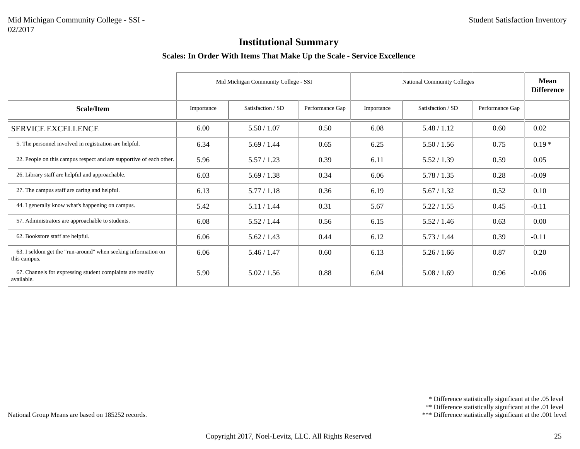#### **Scales: In Order With Items That Make Up the Scale - Service Excellence**

|                                                                               |            | Mid Michigan Community College - SSI |                 | <b>National Community Colleges</b> | <b>Mean</b><br><b>Difference</b> |                 |          |
|-------------------------------------------------------------------------------|------------|--------------------------------------|-----------------|------------------------------------|----------------------------------|-----------------|----------|
| Scale/Item                                                                    | Importance | Satisfaction / SD                    | Performance Gap | Importance                         | Satisfaction / SD                | Performance Gap |          |
| <b>SERVICE EXCELLENCE</b>                                                     | 6.00       | 5.50 / 1.07                          | 0.50            | 6.08                               | 5.48 / 1.12                      | 0.60            | 0.02     |
| 5. The personnel involved in registration are helpful.                        | 6.34       | 5.69/1.44                            | 0.65            | 6.25                               | 5.50 / 1.56                      | 0.75            | $0.19*$  |
| 22. People on this campus respect and are supportive of each other.           | 5.96       | 5.57/1.23                            | 0.39            | 6.11                               | 5.52 / 1.39                      | 0.59            | 0.05     |
| 26. Library staff are helpful and approachable.                               | 6.03       | 5.69/1.38                            | 0.34            | 6.06                               | 5.78 / 1.35                      | 0.28            | $-0.09$  |
| 27. The campus staff are caring and helpful.                                  | 6.13       | 5.77/1.18                            | 0.36            | 6.19                               | 5.67 / 1.32                      | 0.52            | 0.10     |
| 44. I generally know what's happening on campus.                              | 5.42       | 5.11 / 1.44                          | 0.31            | 5.67                               | 5.22 / 1.55                      | 0.45            | $-0.11$  |
| 57. Administrators are approachable to students.                              | 6.08       | 5.52 / 1.44                          | 0.56            | 6.15                               | 5.52 / 1.46                      | 0.63            | $0.00\,$ |
| 62. Bookstore staff are helpful.                                              | 6.06       | 5.62 / 1.43                          | 0.44            | 6.12                               | 5.73 / 1.44                      | 0.39            | $-0.11$  |
| 63. I seldom get the "run-around" when seeking information on<br>this campus. | 6.06       | 5.46 / 1.47                          | 0.60            | 6.13                               | 5.26 / 1.66                      | 0.87            | 0.20     |
| 67. Channels for expressing student complaints are readily<br>available.      | 5.90       | 5.02 / 1.56                          | 0.88            | 6.04                               | 5.08 / 1.69                      | 0.96            | $-0.06$  |

\* Difference statistically significant at the .05 level

\*\* Difference statistically significant at the .01 level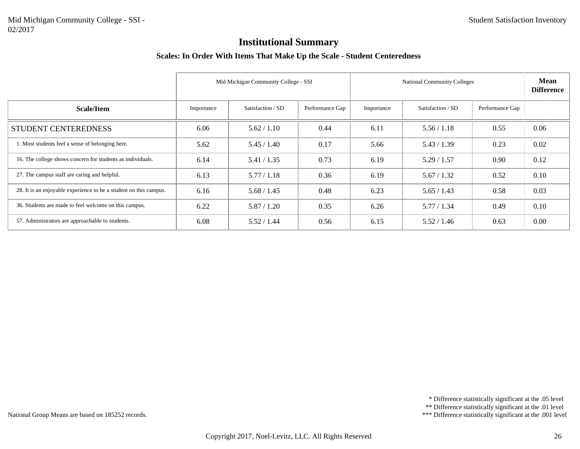#### **Scales: In Order With Items That Make Up the Scale - Student Centeredness**

|                                                                   |            | Mid Michigan Community College - SSI |                 | <b>National Community Colleges</b> | <b>Mean</b><br><b>Difference</b> |                 |      |
|-------------------------------------------------------------------|------------|--------------------------------------|-----------------|------------------------------------|----------------------------------|-----------------|------|
| Scale/Item                                                        | Importance | Satisfaction / SD                    | Performance Gap | Importance                         | Satisfaction / SD                | Performance Gap |      |
| <b>STUDENT CENTEREDNESS</b>                                       | 6.06       | 5.62 / 1.10                          | 0.44            | 6.11                               | 5.56 / 1.18                      | 0.55            | 0.06 |
| 1. Most students feel a sense of belonging here.                  | 5.62       | 5.45 / 1.40                          | 0.17            | 5.66                               | 5.43 / 1.39                      | 0.23            | 0.02 |
| 16. The college shows concern for students as individuals.        | 6.14       | 5.41 / 1.35                          | 0.73            | 6.19                               | 5.29/1.57                        | 0.90            | 0.12 |
| 27. The campus staff are caring and helpful.                      | 6.13       | 5.77/1.18                            | 0.36            | 6.19                               | 5.67 / 1.32                      | 0.52            | 0.10 |
| 28. It is an enjoyable experience to be a student on this campus. | 6.16       | 5.68 / 1.45                          | 0.48            | 6.23                               | 5.65/1.43                        | 0.58            | 0.03 |
| 36. Students are made to feel welcome on this campus.             | 6.22       | 5.87/1.20                            | 0.35            | 6.26                               | 5.77/1.34                        | 0.49            | 0.10 |
| 57. Administrators are approachable to students.                  | 6.08       | 5.52 / 1.44                          | 0.56            | 6.15                               | 5.52 / 1.46                      | 0.63            | 0.00 |

\* Difference statistically significant at the .05 level

\*\* Difference statistically significant at the .01 level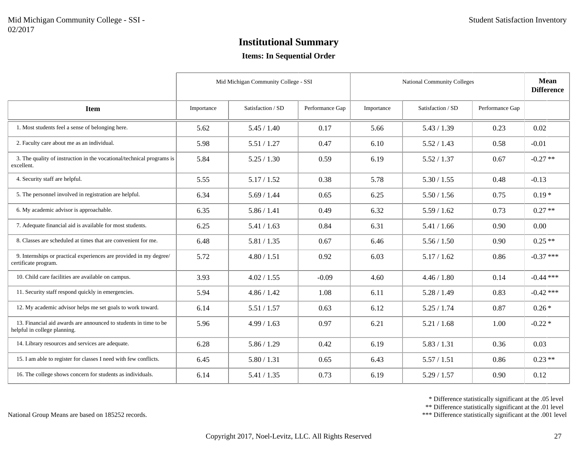## **Items: In Sequential Order**

|                                                                                                  | Mid Michigan Community College - SSI |                   |                 | <b>National Community Colleges</b> | <b>Mean</b><br><b>Difference</b> |                 |             |
|--------------------------------------------------------------------------------------------------|--------------------------------------|-------------------|-----------------|------------------------------------|----------------------------------|-----------------|-------------|
| <b>Item</b>                                                                                      | Importance                           | Satisfaction / SD | Performance Gap | Importance                         | Satisfaction / SD                | Performance Gap |             |
| 1. Most students feel a sense of belonging here.                                                 | 5.62                                 | 5.45 / 1.40       | 0.17            | 5.66                               | 5.43 / 1.39                      | 0.23            | 0.02        |
| 2. Faculty care about me as an individual.                                                       | 5.98                                 | 5.51 / 1.27       | 0.47            | 6.10                               | 5.52 / 1.43                      | 0.58            | $-0.01$     |
| 3. The quality of instruction in the vocational/technical programs is<br>excellent.              | 5.84                                 | 5.25 / 1.30       | 0.59            | 6.19                               | 5.52 / 1.37                      | 0.67            | $-0.27**$   |
| 4. Security staff are helpful.                                                                   | 5.55                                 | 5.17 / 1.52       | 0.38            | 5.78                               | 5.30 / 1.55                      | 0.48            | $-0.13$     |
| 5. The personnel involved in registration are helpful.                                           | 6.34                                 | 5.69 / 1.44       | 0.65            | 6.25                               | 5.50 / 1.56                      | 0.75            | $0.19*$     |
| 6. My academic advisor is approachable.                                                          | 6.35                                 | 5.86 / 1.41       | 0.49            | 6.32                               | 5.59/1.62                        | 0.73            | $0.27**$    |
| 7. Adequate financial aid is available for most students.                                        | 6.25                                 | 5.41 / 1.63       | 0.84            | 6.31                               | 5.41 / 1.66                      | 0.90            | 0.00        |
| 8. Classes are scheduled at times that are convenient for me.                                    | 6.48                                 | 5.81 / 1.35       | 0.67            | 6.46                               | 5.56 / 1.50                      | 0.90            | $0.25**$    |
| 9. Internships or practical experiences are provided in my degree/<br>certificate program.       | 5.72                                 | 4.80 / 1.51       | 0.92            | 6.03                               | 5.17 / 1.62                      | 0.86            | $-0.37$ *** |
| 10. Child care facilities are available on campus.                                               | 3.93                                 | 4.02 / 1.55       | $-0.09$         | 4.60                               | 4.46 / 1.80                      | 0.14            | $-0.44$ *** |
| 11. Security staff respond quickly in emergencies.                                               | 5.94                                 | 4.86 / 1.42       | 1.08            | 6.11                               | 5.28 / 1.49                      | 0.83            | $-0.42$ *** |
| 12. My academic advisor helps me set goals to work toward.                                       | 6.14                                 | 5.51 / 1.57       | 0.63            | 6.12                               | 5.25/1.74                        | 0.87            | $0.26*$     |
| 13. Financial aid awards are announced to students in time to be<br>helpful in college planning. | 5.96                                 | 4.99 / 1.63       | 0.97            | 6.21                               | 5.21 / 1.68                      | 1.00            | $-0.22*$    |
| 14. Library resources and services are adequate.                                                 | 6.28                                 | 5.86 / 1.29       | 0.42            | 6.19                               | 5.83 / 1.31                      | 0.36            | 0.03        |
| 15. I am able to register for classes I need with few conflicts.                                 | 6.45                                 | 5.80 / 1.31       | 0.65            | 6.43                               | 5.57/1.51                        | 0.86            | $0.23**$    |
| 16. The college shows concern for students as individuals.                                       | 6.14                                 | 5.41 / 1.35       | 0.73            | 6.19                               | 5.29/1.57                        | 0.90            | 0.12        |

\* Difference statistically significant at the .05 level

\*\* Difference statistically significant at the .01 level

\*\*\* Difference statistically significant at the .001 level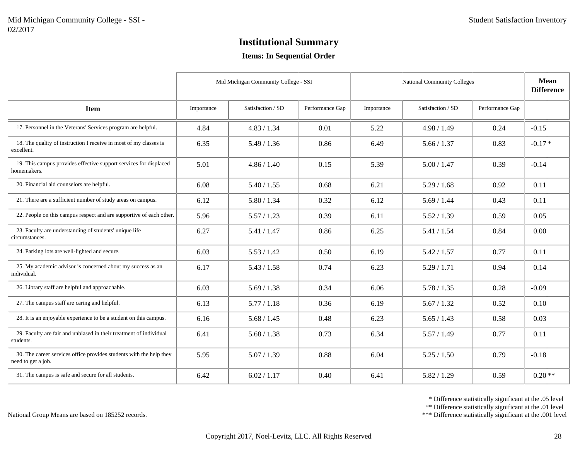## **Items: In Sequential Order**

|                                                                                           | Mid Michigan Community College - SSI |                   |                 | <b>National Community Colleges</b> | <b>Mean</b><br><b>Difference</b> |                 |          |
|-------------------------------------------------------------------------------------------|--------------------------------------|-------------------|-----------------|------------------------------------|----------------------------------|-----------------|----------|
| <b>Item</b>                                                                               | Importance                           | Satisfaction / SD | Performance Gap | Importance                         | Satisfaction / SD                | Performance Gap |          |
| 17. Personnel in the Veterans' Services program are helpful.                              | 4.84                                 | 4.83 / 1.34       | 0.01            | 5.22                               | 4.98 / 1.49                      | 0.24            | $-0.15$  |
| 18. The quality of instruction I receive in most of my classes is<br>excellent.           | 6.35                                 | 5.49 / 1.36       | 0.86            | 6.49                               | 5.66 / 1.37                      | 0.83            | $-0.17*$ |
| 19. This campus provides effective support services for displaced<br>homemakers.          | 5.01                                 | 4.86 / 1.40       | 0.15            | 5.39                               | 5.00 / 1.47                      | 0.39            | $-0.14$  |
| 20. Financial aid counselors are helpful.                                                 | 6.08                                 | 5.40 / 1.55       | 0.68            | 6.21                               | 5.29 / 1.68                      | 0.92            | 0.11     |
| 21. There are a sufficient number of study areas on campus.                               | 6.12                                 | 5.80 / 1.34       | 0.32            | 6.12                               | 5.69 / 1.44                      | 0.43            | 0.11     |
| 22. People on this campus respect and are supportive of each other.                       | 5.96                                 | 5.57/1.23         | 0.39            | 6.11                               | 5.52 / 1.39                      | 0.59            | 0.05     |
| 23. Faculty are understanding of students' unique life<br>circumstances.                  | 6.27                                 | 5.41 / 1.47       | 0.86            | 6.25                               | 5.41 / 1.54                      | 0.84            | 0.00     |
| 24. Parking lots are well-lighted and secure.                                             | 6.03                                 | 5.53 / 1.42       | 0.50            | 6.19                               | 5.42 / 1.57                      | 0.77            | 0.11     |
| 25. My academic advisor is concerned about my success as an<br>individual.                | 6.17                                 | 5.43 / 1.58       | 0.74            | 6.23                               | 5.29/1.71                        | 0.94            | 0.14     |
| 26. Library staff are helpful and approachable.                                           | 6.03                                 | 5.69/1.38         | 0.34            | 6.06                               | 5.78 / 1.35                      | 0.28            | $-0.09$  |
| 27. The campus staff are caring and helpful.                                              | 6.13                                 | 5.77/1.18         | 0.36            | 6.19                               | 5.67 / 1.32                      | 0.52            | 0.10     |
| 28. It is an enjoyable experience to be a student on this campus.                         | 6.16                                 | 5.68 / 1.45       | 0.48            | 6.23                               | 5.65 / 1.43                      | 0.58            | 0.03     |
| 29. Faculty are fair and unbiased in their treatment of individual<br>students.           | 6.41                                 | 5.68 / 1.38       | 0.73            | 6.34                               | 5.57/1.49                        | 0.77            | 0.11     |
| 30. The career services office provides students with the help they<br>need to get a job. | 5.95                                 | 5.07 / 1.39       | 0.88            | 6.04                               | 5.25 / 1.50                      | 0.79            | $-0.18$  |
| 31. The campus is safe and secure for all students.                                       | 6.42                                 | 6.02 / 1.17       | 0.40            | 6.41                               | 5.82 / 1.29                      | 0.59            | $0.20**$ |

\* Difference statistically significant at the .05 level

\*\* Difference statistically significant at the .01 level

\*\*\* Difference statistically significant at the .001 level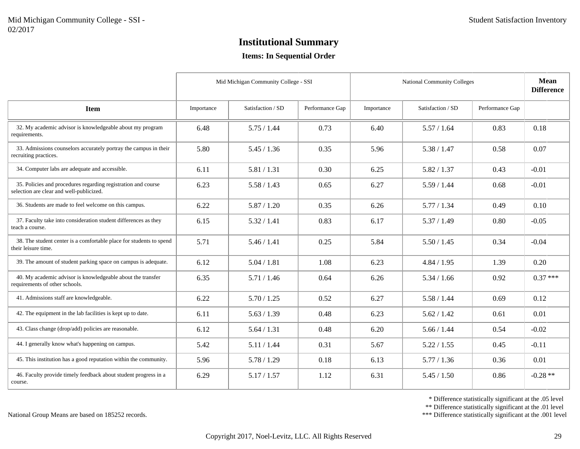## **Items: In Sequential Order**

|                                                                                                           | Mid Michigan Community College - SSI |                   | <b>National Community Colleges</b> | <b>Mean</b><br><b>Difference</b> |                   |                 |           |
|-----------------------------------------------------------------------------------------------------------|--------------------------------------|-------------------|------------------------------------|----------------------------------|-------------------|-----------------|-----------|
| <b>Item</b>                                                                                               | Importance                           | Satisfaction / SD | Performance Gap                    | Importance                       | Satisfaction / SD | Performance Gap |           |
| 32. My academic advisor is knowledgeable about my program<br>requirements.                                | 6.48                                 | 5.75/1.44         | 0.73                               | 6.40                             | 5.57 / 1.64       | 0.83            | 0.18      |
| 33. Admissions counselors accurately portray the campus in their<br>recruiting practices.                 | 5.80                                 | 5.45 / 1.36       | 0.35                               | 5.96                             | 5.38 / 1.47       | 0.58            | 0.07      |
| 34. Computer labs are adequate and accessible.                                                            | 6.11                                 | 5.81 / 1.31       | 0.30                               | 6.25                             | 5.82 / 1.37       | 0.43            | $-0.01$   |
| 35. Policies and procedures regarding registration and course<br>selection are clear and well-publicized. | 6.23                                 | 5.58 / 1.43       | 0.65                               | 6.27                             | 5.59/1.44         | 0.68            | $-0.01$   |
| 36. Students are made to feel welcome on this campus.                                                     | 6.22                                 | 5.87 / 1.20       | 0.35                               | 6.26                             | 5.77/1.34         | 0.49            | 0.10      |
| 37. Faculty take into consideration student differences as they<br>teach a course.                        | 6.15                                 | 5.32 / 1.41       | 0.83                               | 6.17                             | 5.37/1.49         | 0.80            | $-0.05$   |
| 38. The student center is a comfortable place for students to spend<br>their leisure time.                | 5.71                                 | 5.46 / 1.41       | 0.25                               | 5.84                             | 5.50 / 1.45       | 0.34            | $-0.04$   |
| 39. The amount of student parking space on campus is adequate.                                            | 6.12                                 | 5.04 / 1.81       | 1.08                               | 6.23                             | 4.84 / 1.95       | 1.39            | 0.20      |
| 40. My academic advisor is knowledgeable about the transfer<br>requirements of other schools.             | 6.35                                 | 5.71/1.46         | 0.64                               | 6.26                             | 5.34 / 1.66       | 0.92            | $0.37***$ |
| 41. Admissions staff are knowledgeable.                                                                   | 6.22                                 | 5.70 / 1.25       | 0.52                               | 6.27                             | 5.58 / 1.44       | 0.69            | 0.12      |
| 42. The equipment in the lab facilities is kept up to date.                                               | 6.11                                 | 5.63 / 1.39       | 0.48                               | 6.23                             | 5.62 / 1.42       | 0.61            | 0.01      |
| 43. Class change (drop/add) policies are reasonable.                                                      | 6.12                                 | 5.64 / 1.31       | 0.48                               | 6.20                             | 5.66 / 1.44       | 0.54            | $-0.02$   |
| 44. I generally know what's happening on campus.                                                          | 5.42                                 | 5.11 / 1.44       | 0.31                               | 5.67                             | 5.22 / 1.55       | 0.45            | $-0.11$   |
| 45. This institution has a good reputation within the community.                                          | 5.96                                 | 5.78 / 1.29       | 0.18                               | 6.13                             | 5.77/1.36         | 0.36            | 0.01      |
| 46. Faculty provide timely feedback about student progress in a<br>course.                                | 6.29                                 | 5.17 / 1.57       | 1.12                               | 6.31                             | 5.45 / 1.50       | 0.86            | $-0.28**$ |

\* Difference statistically significant at the .05 level

\*\* Difference statistically significant at the .01 level

\*\*\* Difference statistically significant at the .001 level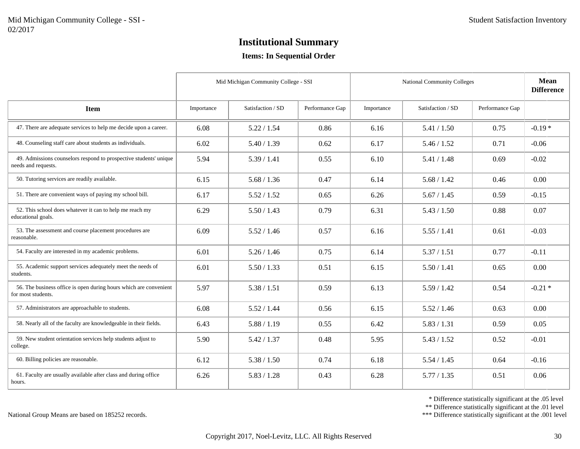## **Items: In Sequential Order**

|                                                                                          | Mid Michigan Community College - SSI |                   |                 | <b>National Community Colleges</b> | <b>Mean</b><br><b>Difference</b> |                 |          |
|------------------------------------------------------------------------------------------|--------------------------------------|-------------------|-----------------|------------------------------------|----------------------------------|-----------------|----------|
| <b>Item</b>                                                                              | Importance                           | Satisfaction / SD | Performance Gap | Importance                         | Satisfaction / SD                | Performance Gap |          |
| 47. There are adequate services to help me decide upon a career.                         | 6.08                                 | 5.22 / 1.54       | 0.86            | 6.16                               | 5.41 / 1.50                      | 0.75            | $-0.19*$ |
| 48. Counseling staff care about students as individuals.                                 | 6.02                                 | 5.40 / 1.39       | 0.62            | 6.17                               | 5.46 / 1.52                      | 0.71            | $-0.06$  |
| 49. Admissions counselors respond to prospective students' unique<br>needs and requests. | 5.94                                 | 5.39/1.41         | 0.55            | 6.10                               | 5.41 / 1.48                      | 0.69            | $-0.02$  |
| 50. Tutoring services are readily available.                                             | 6.15                                 | 5.68 / 1.36       | 0.47            | 6.14                               | 5.68 / 1.42                      | 0.46            | 0.00     |
| 51. There are convenient ways of paying my school bill.                                  | 6.17                                 | 5.52 / 1.52       | 0.65            | 6.26                               | 5.67 / 1.45                      | 0.59            | $-0.15$  |
| 52. This school does whatever it can to help me reach my<br>educational goals.           | 6.29                                 | 5.50 / 1.43       | 0.79            | 6.31                               | 5.43 / 1.50                      | 0.88            | 0.07     |
| 53. The assessment and course placement procedures are<br>reasonable.                    | 6.09                                 | 5.52 / 1.46       | 0.57            | 6.16                               | 5.55/1.41                        | 0.61            | $-0.03$  |
| 54. Faculty are interested in my academic problems.                                      | 6.01                                 | 5.26 / 1.46       | 0.75            | 6.14                               | 5.37 / 1.51                      | 0.77            | $-0.11$  |
| 55. Academic support services adequately meet the needs of<br>students.                  | 6.01                                 | 5.50 / 1.33       | 0.51            | 6.15                               | 5.50 / 1.41                      | 0.65            | 0.00     |
| 56. The business office is open during hours which are convenient<br>for most students.  | 5.97                                 | 5.38 / 1.51       | 0.59            | 6.13                               | 5.59/1.42                        | 0.54            | $-0.21*$ |
| 57. Administrators are approachable to students.                                         | 6.08                                 | 5.52 / 1.44       | 0.56            | 6.15                               | 5.52 / 1.46                      | 0.63            | 0.00     |
| 58. Nearly all of the faculty are knowledgeable in their fields.                         | 6.43                                 | 5.88 / 1.19       | 0.55            | 6.42                               | 5.83 / 1.31                      | 0.59            | 0.05     |
| 59. New student orientation services help students adjust to<br>college.                 | 5.90                                 | 5.42 / 1.37       | 0.48            | 5.95                               | 5.43 / 1.52                      | 0.52            | $-0.01$  |
| 60. Billing policies are reasonable.                                                     | 6.12                                 | 5.38 / 1.50       | 0.74            | 6.18                               | 5.54 / 1.45                      | 0.64            | $-0.16$  |
| 61. Faculty are usually available after class and during office<br>hours.                | 6.26                                 | 5.83 / 1.28       | 0.43            | 6.28                               | 5.77 / 1.35                      | 0.51            | 0.06     |

\* Difference statistically significant at the .05 level

\*\* Difference statistically significant at the .01 level

\*\*\* Difference statistically significant at the .001 level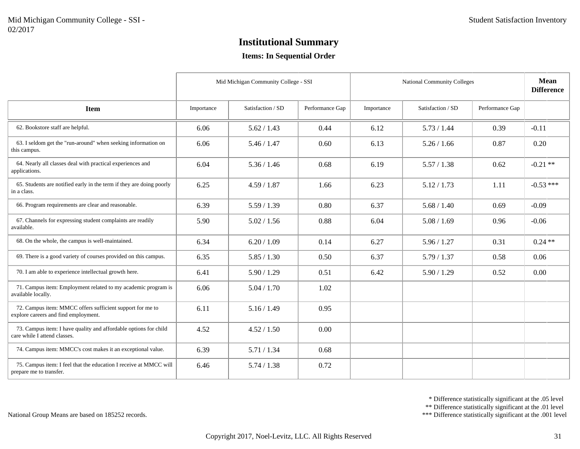## **Items: In Sequential Order**

|                                                                                                   | Mid Michigan Community College - SSI |                   | <b>National Community Colleges</b> | <b>Mean</b><br><b>Difference</b> |                   |                 |             |
|---------------------------------------------------------------------------------------------------|--------------------------------------|-------------------|------------------------------------|----------------------------------|-------------------|-----------------|-------------|
| <b>Item</b>                                                                                       | Importance                           | Satisfaction / SD | Performance Gap                    | Importance                       | Satisfaction / SD | Performance Gap |             |
| 62. Bookstore staff are helpful.                                                                  | 6.06                                 | 5.62 / 1.43       | 0.44                               | 6.12                             | 5.73 / 1.44       | 0.39            | $-0.11$     |
| 63. I seldom get the "run-around" when seeking information on<br>this campus.                     | 6.06                                 | 5.46 / 1.47       | 0.60                               | 6.13                             | 5.26 / 1.66       | 0.87            | 0.20        |
| 64. Nearly all classes deal with practical experiences and<br>applications.                       | 6.04                                 | 5.36 / 1.46       | 0.68                               | 6.19                             | 5.57/1.38         | 0.62            | $-0.21$ **  |
| 65. Students are notified early in the term if they are doing poorly<br>in a class.               | 6.25                                 | 4.59 / 1.87       | 1.66                               | 6.23                             | 5.12 / 1.73       | 1.11            | $-0.53$ *** |
| 66. Program requirements are clear and reasonable.                                                | 6.39                                 | 5.59/1.39         | 0.80                               | 6.37                             | 5.68 / 1.40       | 0.69            | $-0.09$     |
| 67. Channels for expressing student complaints are readily<br>available.                          | 5.90                                 | 5.02 / 1.56       | 0.88                               | 6.04                             | 5.08 / 1.69       | 0.96            | $-0.06$     |
| 68. On the whole, the campus is well-maintained.                                                  | 6.34                                 | 6.20 / 1.09       | 0.14                               | 6.27                             | 5.96 / 1.27       | 0.31            | $0.24**$    |
| 69. There is a good variety of courses provided on this campus.                                   | 6.35                                 | 5.85 / 1.30       | 0.50                               | 6.37                             | 5.79/1.37         | 0.58            | 0.06        |
| 70. I am able to experience intellectual growth here.                                             | 6.41                                 | 5.90/1.29         | 0.51                               | 6.42                             | 5.90 / 1.29       | 0.52            | 0.00        |
| 71. Campus item: Employment related to my academic program is<br>available locally.               | 6.06                                 | 5.04 / 1.70       | 1.02                               |                                  |                   |                 |             |
| 72. Campus item: MMCC offers sufficient support for me to<br>explore careers and find employment. | 6.11                                 | 5.16 / 1.49       | 0.95                               |                                  |                   |                 |             |
| 73. Campus item: I have quality and affordable options for child<br>care while I attend classes.  | 4.52                                 | 4.52 / 1.50       | 0.00                               |                                  |                   |                 |             |
| 74. Campus item: MMCC's cost makes it an exceptional value.                                       | 6.39                                 | 5.71 / 1.34       | 0.68                               |                                  |                   |                 |             |
| 75. Campus item: I feel that the education I receive at MMCC will<br>prepare me to transfer.      | 6.46                                 | 5.74 / 1.38       | 0.72                               |                                  |                   |                 |             |

\* Difference statistically significant at the .05 level

\*\* Difference statistically significant at the .01 level

\*\*\* Difference statistically significant at the .001 level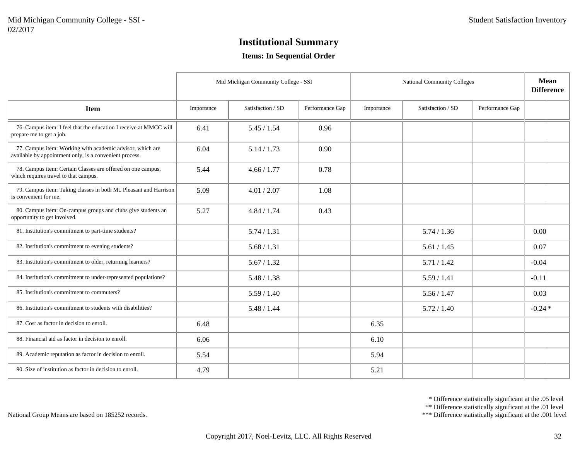#### **Items: In Sequential Order**

|                                                                                                                      | Mid Michigan Community College - SSI |                   |                 | <b>National Community Colleges</b> |                   |                 | <b>Mean</b><br><b>Difference</b> |
|----------------------------------------------------------------------------------------------------------------------|--------------------------------------|-------------------|-----------------|------------------------------------|-------------------|-----------------|----------------------------------|
| <b>Item</b>                                                                                                          | Importance                           | Satisfaction / SD | Performance Gap | Importance                         | Satisfaction / SD | Performance Gap |                                  |
| 76. Campus item: I feel that the education I receive at MMCC will<br>prepare me to get a job.                        | 6.41                                 | 5.45 / 1.54       | 0.96            |                                    |                   |                 |                                  |
| 77. Campus item: Working with academic advisor, which are<br>available by appointment only, is a convenient process. | 6.04                                 | 5.14 / 1.73       | 0.90            |                                    |                   |                 |                                  |
| 78. Campus item: Certain Classes are offered on one campus,<br>which requires travel to that campus.                 | 5.44                                 | 4.66 / 1.77       | 0.78            |                                    |                   |                 |                                  |
| 79. Campus item: Taking classes in both Mt. Pleasant and Harrison<br>is convenient for me.                           | 5.09                                 | 4.01 / 2.07       | 1.08            |                                    |                   |                 |                                  |
| 80. Campus item: On-campus groups and clubs give students an<br>opportunity to get involved.                         | 5.27                                 | 4.84 / 1.74       | 0.43            |                                    |                   |                 |                                  |
| 81. Institution's commitment to part-time students?                                                                  |                                      | 5.74 / 1.31       |                 |                                    | 5.74 / 1.36       |                 | 0.00                             |
| 82. Institution's commitment to evening students?                                                                    |                                      | 5.68 / 1.31       |                 |                                    | 5.61 / 1.45       |                 | 0.07                             |
| 83. Institution's commitment to older, returning learners?                                                           |                                      | 5.67 / 1.32       |                 |                                    | 5.71/1.42         |                 | $-0.04$                          |
| 84. Institution's commitment to under-represented populations?                                                       |                                      | 5.48 / 1.38       |                 |                                    | 5.59/1.41         |                 | $-0.11$                          |
| 85. Institution's commitment to commuters?                                                                           |                                      | 5.59 / 1.40       |                 |                                    | 5.56 / 1.47       |                 | 0.03                             |
| 86. Institution's commitment to students with disabilities?                                                          |                                      | 5.48 / 1.44       |                 |                                    | 5.72 / 1.40       |                 | $-0.24*$                         |
| 87. Cost as factor in decision to enroll.                                                                            | 6.48                                 |                   |                 | 6.35                               |                   |                 |                                  |
| 88. Financial aid as factor in decision to enroll.                                                                   | 6.06                                 |                   |                 | 6.10                               |                   |                 |                                  |
| 89. Academic reputation as factor in decision to enroll.                                                             | 5.54                                 |                   |                 | 5.94                               |                   |                 |                                  |
| 90. Size of institution as factor in decision to enroll.                                                             | 4.79                                 |                   |                 | 5.21                               |                   |                 |                                  |

\* Difference statistically significant at the .05 level

\*\* Difference statistically significant at the .01 level

\*\*\* Difference statistically significant at the .001 level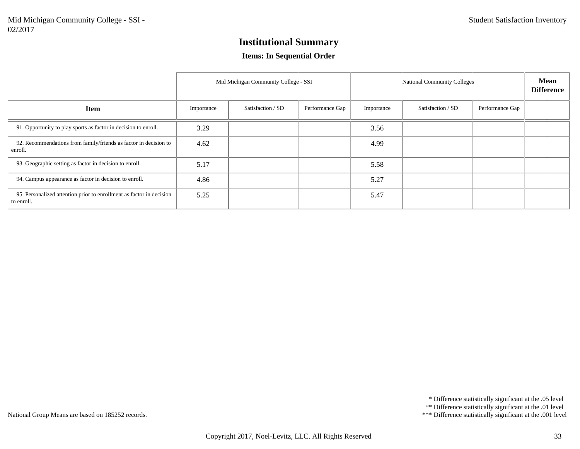#### **Items: In Sequential Order**

|                                                                                    | Mid Michigan Community College - SSI |                   |                 | <b>National Community Colleges</b> | <b>Mean</b><br><b>Difference</b> |                 |  |
|------------------------------------------------------------------------------------|--------------------------------------|-------------------|-----------------|------------------------------------|----------------------------------|-----------------|--|
| <b>Item</b>                                                                        | Importance                           | Satisfaction / SD | Performance Gap | Importance                         | Satisfaction / SD                | Performance Gap |  |
| 91. Opportunity to play sports as factor in decision to enroll.                    | 3.29                                 |                   |                 | 3.56                               |                                  |                 |  |
| 92. Recommendations from family/friends as factor in decision to<br>enroll.        | 4.62                                 |                   |                 | 4.99                               |                                  |                 |  |
| 93. Geographic setting as factor in decision to enroll.                            | 5.17                                 |                   |                 | 5.58                               |                                  |                 |  |
| 94. Campus appearance as factor in decision to enroll.                             | 4.86                                 |                   |                 | 5.27                               |                                  |                 |  |
| 95. Personalized attention prior to enrollment as factor in decision<br>to enroll. | 5.25                                 |                   |                 | 5.47                               |                                  |                 |  |

\* Difference statistically significant at the .05 level

\*\* Difference statistically significant at the .01 level